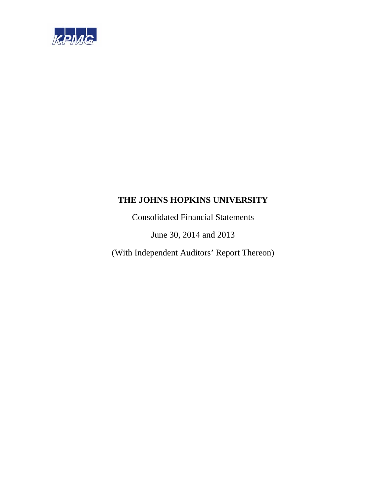

Consolidated Financial Statements

June 30, 2014 and 2013

(With Independent Auditors' Report Thereon)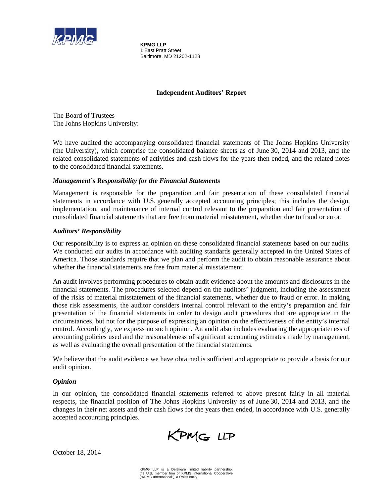

**KPMG LLP**  1 East Pratt Street Baltimore, MD 21202-1128

## **Independent Auditors' Report**

The Board of Trustees The Johns Hopkins University:

We have audited the accompanying consolidated financial statements of The Johns Hopkins University (the University), which comprise the consolidated balance sheets as of June 30, 2014 and 2013, and the related consolidated statements of activities and cash flows for the years then ended, and the related notes to the consolidated financial statements.

## *Management's Responsibility for the Financial Statements*

Management is responsible for the preparation and fair presentation of these consolidated financial statements in accordance with U.S. generally accepted accounting principles; this includes the design, implementation, and maintenance of internal control relevant to the preparation and fair presentation of consolidated financial statements that are free from material misstatement, whether due to fraud or error.

## *Auditors' Responsibility*

Our responsibility is to express an opinion on these consolidated financial statements based on our audits. We conducted our audits in accordance with auditing standards generally accepted in the United States of America. Those standards require that we plan and perform the audit to obtain reasonable assurance about whether the financial statements are free from material misstatement.

An audit involves performing procedures to obtain audit evidence about the amounts and disclosures in the financial statements. The procedures selected depend on the auditors' judgment, including the assessment of the risks of material misstatement of the financial statements, whether due to fraud or error. In making those risk assessments, the auditor considers internal control relevant to the entity's preparation and fair presentation of the financial statements in order to design audit procedures that are appropriate in the circumstances, but not for the purpose of expressing an opinion on the effectiveness of the entity's internal control. Accordingly, we express no such opinion. An audit also includes evaluating the appropriateness of accounting policies used and the reasonableness of significant accounting estimates made by management, as well as evaluating the overall presentation of the financial statements.

We believe that the audit evidence we have obtained is sufficient and appropriate to provide a basis for our audit opinion.

#### *Opinion*

In our opinion, the consolidated financial statements referred to above present fairly in all material respects, the financial position of The Johns Hopkins University as of June 30, 2014 and 2013, and the changes in their net assets and their cash flows for the years then ended, in accordance with U.S. generally accepted accounting principles.

KPMG LLP

October 18, 2014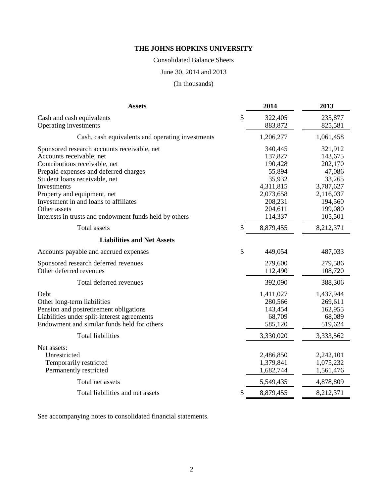Consolidated Balance Sheets

June 30, 2014 and 2013

(In thousands)

| <b>Assets</b>                                                                                                                                                                                                                                                                                                                                       | 2014                                                                                                         | 2013                                                                                                         |
|-----------------------------------------------------------------------------------------------------------------------------------------------------------------------------------------------------------------------------------------------------------------------------------------------------------------------------------------------------|--------------------------------------------------------------------------------------------------------------|--------------------------------------------------------------------------------------------------------------|
| Cash and cash equivalents<br>Operating investments                                                                                                                                                                                                                                                                                                  | \$<br>322,405<br>883,872                                                                                     | 235,877<br>825,581                                                                                           |
| Cash, cash equivalents and operating investments                                                                                                                                                                                                                                                                                                    | 1,206,277                                                                                                    | 1,061,458                                                                                                    |
| Sponsored research accounts receivable, net<br>Accounts receivable, net<br>Contributions receivable, net<br>Prepaid expenses and deferred charges<br>Student loans receivable, net<br>Investments<br>Property and equipment, net<br>Investment in and loans to affiliates<br>Other assets<br>Interests in trusts and endowment funds held by others | 340,445<br>137,827<br>190,428<br>55,894<br>35,932<br>4,311,815<br>2,073,658<br>208,231<br>204,611<br>114,337 | 321,912<br>143,675<br>202,170<br>47,086<br>33,265<br>3,787,627<br>2,116,037<br>194,560<br>199,080<br>105,501 |
| <b>Total</b> assets                                                                                                                                                                                                                                                                                                                                 | \$<br>8,879,455                                                                                              | 8,212,371                                                                                                    |
| <b>Liabilities and Net Assets</b>                                                                                                                                                                                                                                                                                                                   |                                                                                                              |                                                                                                              |
| Accounts payable and accrued expenses                                                                                                                                                                                                                                                                                                               | \$<br>449,054                                                                                                | 487,033                                                                                                      |
| Sponsored research deferred revenues<br>Other deferred revenues                                                                                                                                                                                                                                                                                     | 279,600<br>112,490                                                                                           | 279,586<br>108,720                                                                                           |
| Total deferred revenues                                                                                                                                                                                                                                                                                                                             | 392,090                                                                                                      | 388,306                                                                                                      |
| Debt<br>Other long-term liabilities<br>Pension and postretirement obligations<br>Liabilities under split-interest agreements<br>Endowment and similar funds held for others                                                                                                                                                                         | 1,411,027<br>280,566<br>143,454<br>68,709<br>585,120                                                         | 1,437,944<br>269,611<br>162,955<br>68,089<br>519,624                                                         |
| <b>Total liabilities</b>                                                                                                                                                                                                                                                                                                                            | 3,330,020                                                                                                    | 3,333,562                                                                                                    |
| Net assets:<br>Unrestricted<br>Temporarily restricted<br>Permanently restricted<br>Total net assets                                                                                                                                                                                                                                                 | 2,486,850<br>1,379,841<br>1,682,744                                                                          | 2,242,101<br>1,075,232<br>1,561,476                                                                          |
| Total liabilities and net assets                                                                                                                                                                                                                                                                                                                    | \$<br>5,549,435<br>8,879,455                                                                                 | 4,878,809<br>8,212,371                                                                                       |
|                                                                                                                                                                                                                                                                                                                                                     |                                                                                                              |                                                                                                              |

See accompanying notes to consolidated financial statements.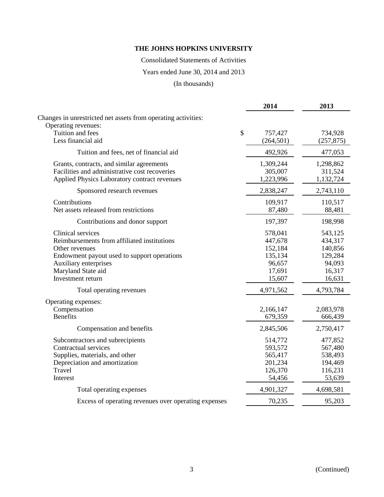Consolidated Statements of Activities

Years ended June 30, 2014 and 2013

(In thousands)

|                                                                                      | 2014          | 2013       |
|--------------------------------------------------------------------------------------|---------------|------------|
| Changes in unrestricted net assets from operating activities:<br>Operating revenues: |               |            |
| Tuition and fees                                                                     | \$<br>757,427 | 734,928    |
| Less financial aid                                                                   | (264, 501)    | (257, 875) |
| Tuition and fees, net of financial aid                                               | 492,926       | 477,053    |
| Grants, contracts, and similar agreements                                            | 1,309,244     | 1,298,862  |
| Facilities and administrative cost recoveries                                        | 305,007       | 311,524    |
| Applied Physics Laboratory contract revenues                                         | 1,223,996     | 1,132,724  |
| Sponsored research revenues                                                          | 2,838,247     | 2,743,110  |
| Contributions                                                                        | 109,917       | 110,517    |
| Net assets released from restrictions                                                | 87,480        | 88,481     |
| Contributions and donor support                                                      | 197,397       | 198,998    |
| Clinical services                                                                    | 578,041       | 543,125    |
| Reimbursements from affiliated institutions                                          | 447,678       | 434,317    |
| Other revenues                                                                       | 152,184       | 140,856    |
| Endowment payout used to support operations                                          | 135,134       | 129,284    |
| Auxiliary enterprises                                                                | 96,657        | 94,093     |
| Maryland State aid                                                                   | 17,691        | 16,317     |
| Investment return                                                                    | 15,607        | 16,631     |
| Total operating revenues                                                             | 4,971,562     | 4,793,784  |
| Operating expenses:                                                                  |               |            |
| Compensation                                                                         | 2,166,147     | 2,083,978  |
| <b>Benefits</b>                                                                      | 679,359       | 666,439    |
| Compensation and benefits                                                            | 2,845,506     | 2,750,417  |
| Subcontractors and subrecipients                                                     | 514,772       | 477,852    |
| Contractual services                                                                 | 593,572       | 567,480    |
| Supplies, materials, and other                                                       | 565,417       | 538,493    |
| Depreciation and amortization                                                        | 201,234       | 194,469    |
| Travel                                                                               | 126,370       | 116,231    |
| Interest                                                                             | 54,456        | 53,639     |
| Total operating expenses                                                             | 4,901,327     | 4,698,581  |
| Excess of operating revenues over operating expenses                                 | 70,235        | 95,203     |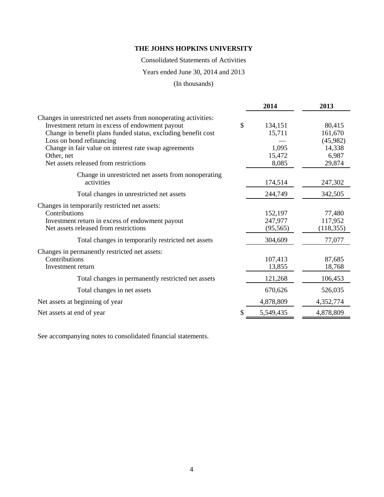Consolidated Statements of Activities

Years ended June 30, 2014 and 2013

(In thousands)

|                                                                  | 2014          | 2013       |
|------------------------------------------------------------------|---------------|------------|
| Changes in unrestricted net assets from nonoperating activities: |               |            |
| Investment return in excess of endowment payout                  | \$<br>134,151 | 80,415     |
| Change in benefit plans funded status, excluding benefit cost    | 15,711        | 161,670    |
| Loss on bond refinancing                                         |               | (45,982)   |
| Change in fair value on interest rate swap agreements            | 1,095         | 14,338     |
| Other, net                                                       | 15,472        | 6,987      |
| Net assets released from restrictions                            | 8,085         | 29,874     |
| Change in unrestricted net assets from nonoperating              |               |            |
| activities                                                       | 174,514       | 247,302    |
| Total changes in unrestricted net assets                         | 244,749       | 342,505    |
| Changes in temporarily restricted net assets:                    |               |            |
| Contributions                                                    | 152,197       | 77,480     |
| Investment return in excess of endowment payout                  | 247,977       | 117,952    |
| Net assets released from restrictions                            | (95, 565)     | (118, 355) |
|                                                                  |               |            |
| Total changes in temporarily restricted net assets               | 304,609       | 77,077     |
| Changes in permanently restricted net assets:                    |               |            |
| Contributions                                                    | 107,413       | 87,685     |
| Investment return                                                | 13,855        | 18,768     |
|                                                                  |               |            |
| Total changes in permanently restricted net assets               | 121,268       | 106,453    |
| Total changes in net assets                                      | 670,626       | 526,035    |
| Net assets at beginning of year                                  | 4,878,809     | 4,352,774  |
| Net assets at end of year                                        | 5,549,435     | 4,878,809  |

See accompanying notes to consolidated financial statements.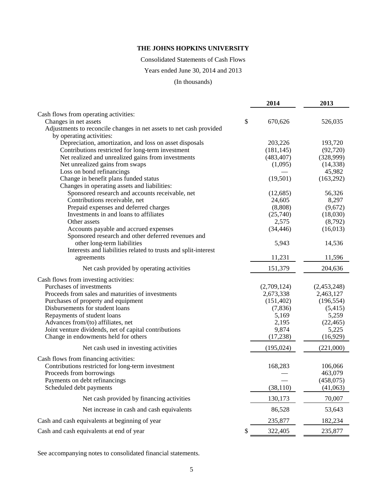Consolidated Statements of Cash Flows

## Years ended June 30, 2014 and 2013

(In thousands)

|                                                                                                 | 2014          | 2013        |
|-------------------------------------------------------------------------------------------------|---------------|-------------|
| Cash flows from operating activities:                                                           |               |             |
| Changes in net assets                                                                           | \$<br>670,626 | 526,035     |
| Adjustments to reconcile changes in net assets to net cash provided<br>by operating activities: |               |             |
| Depreciation, amortization, and loss on asset disposals                                         | 203,226       | 193,720     |
| Contributions restricted for long-term investment                                               | (181, 145)    | (92, 720)   |
| Net realized and unrealized gains from investments                                              | (483, 407)    | (328,999)   |
| Net unrealized gains from swaps                                                                 | (1,095)       | (14, 338)   |
| Loss on bond refinancings                                                                       |               | 45,982      |
| Change in benefit plans funded status                                                           | (19,501)      | (163,292)   |
| Changes in operating assets and liabilities:                                                    |               |             |
| Sponsored research and accounts receivable, net                                                 | (12,685)      | 56,326      |
| Contributions receivable, net                                                                   | 24,605        | 8,297       |
| Prepaid expenses and deferred charges                                                           | (8,808)       | (9,672)     |
| Investments in and loans to affiliates                                                          | (25,740)      | (18,030)    |
| Other assets                                                                                    | 2,575         | (8,792)     |
| Accounts payable and accrued expenses                                                           | (34, 446)     | (16,013)    |
| Sponsored research and other deferred revenues and                                              |               |             |
| other long-term liabilities                                                                     | 5,943         | 14,536      |
| Interests and liabilities related to trusts and split-interest                                  |               |             |
| agreements                                                                                      | 11,231        | 11,596      |
| Net cash provided by operating activities                                                       | 151,379       | 204,636     |
| Cash flows from investing activities:                                                           |               |             |
| Purchases of investments                                                                        | (2,709,124)   | (2,453,248) |
| Proceeds from sales and maturities of investments                                               | 2,673,338     | 2,463,127   |
| Purchases of property and equipment                                                             | (151, 402)    | (196, 554)  |
| Disbursements for student loans                                                                 | (7,836)       | (5,415)     |
| Repayments of student loans                                                                     | 5,169         | 5,259       |
| Advances from/(to) affiliates, net                                                              | 2,195         | (22, 465)   |
| Joint venture dividends, net of capital contributions                                           | 9,874         | 5,225       |
| Change in endowments held for others                                                            | (17,238)      | (16,929)    |
| Net cash used in investing activities                                                           | (195, 024)    | (221,000)   |
| Cash flows from financing activities:                                                           |               |             |
| Contributions restricted for long-term investment                                               | 168,283       | 106,066     |
| Proceeds from borrowings                                                                        |               | 463,079     |
| Payments on debt refinancings                                                                   |               | (458,075)   |
| Scheduled debt payments                                                                         | (38, 110)     | (41,063)    |
| Net cash provided by financing activities                                                       | 130,173       | 70,007      |
| Net increase in cash and cash equivalents                                                       | 86,528        | 53,643      |
| Cash and cash equivalents at beginning of year                                                  | 235,877       | 182,234     |
| Cash and cash equivalents at end of year                                                        | \$<br>322,405 | 235,877     |

See accompanying notes to consolidated financial statements.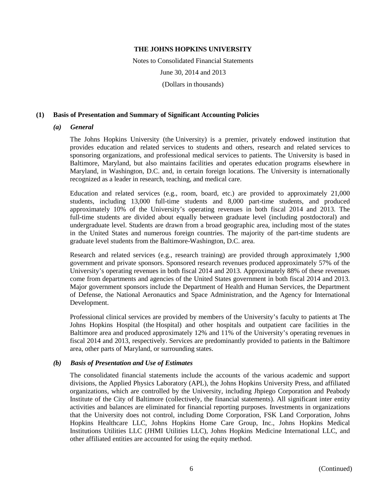Notes to Consolidated Financial Statements June 30, 2014 and 2013 (Dollars in thousands)

## **(1) Basis of Presentation and Summary of Significant Accounting Policies**

## *(a) General*

The Johns Hopkins University (the University) is a premier, privately endowed institution that provides education and related services to students and others, research and related services to sponsoring organizations, and professional medical services to patients. The University is based in Baltimore, Maryland, but also maintains facilities and operates education programs elsewhere in Maryland, in Washington, D.C. and, in certain foreign locations. The University is internationally recognized as a leader in research, teaching, and medical care.

Education and related services (e.g., room, board, etc.) are provided to approximately 21,000 students, including 13,000 full-time students and 8,000 part-time students, and produced approximately 10% of the University's operating revenues in both fiscal 2014 and 2013. The full-time students are divided about equally between graduate level (including postdoctoral) and undergraduate level. Students are drawn from a broad geographic area, including most of the states in the United States and numerous foreign countries. The majority of the part-time students are graduate level students from the Baltimore-Washington, D.C. area.

Research and related services (e.g., research training) are provided through approximately 1,900 government and private sponsors. Sponsored research revenues produced approximately 57% of the University's operating revenues in both fiscal 2014 and 2013. Approximately 88% of these revenues come from departments and agencies of the United States government in both fiscal 2014 and 2013. Major government sponsors include the Department of Health and Human Services, the Department of Defense, the National Aeronautics and Space Administration, and the Agency for International Development.

Professional clinical services are provided by members of the University's faculty to patients at The Johns Hopkins Hospital (the Hospital) and other hospitals and outpatient care facilities in the Baltimore area and produced approximately 12% and 11% of the University's operating revenues in fiscal 2014 and 2013, respectively. Services are predominantly provided to patients in the Baltimore area, other parts of Maryland, or surrounding states.

## *(b) Basis of Presentation and Use of Estimates*

The consolidated financial statements include the accounts of the various academic and support divisions, the Applied Physics Laboratory (APL), the Johns Hopkins University Press, and affiliated organizations, which are controlled by the University, including Jhpiego Corporation and Peabody Institute of the City of Baltimore (collectively, the financial statements). All significant inter entity activities and balances are eliminated for financial reporting purposes. Investments in organizations that the University does not control, including Dome Corporation, FSK Land Corporation, Johns Hopkins Healthcare LLC, Johns Hopkins Home Care Group, Inc., Johns Hopkins Medical Institutions Utilities LLC (JHMI Utilities LLC), Johns Hopkins Medicine International LLC, and other affiliated entities are accounted for using the equity method.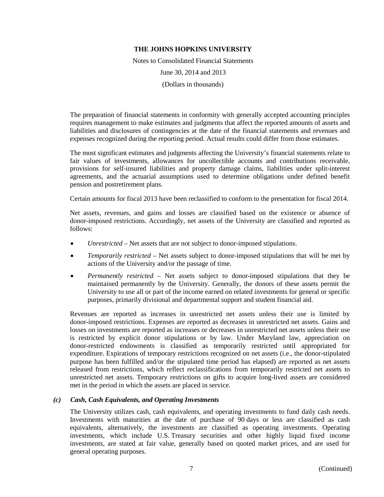Notes to Consolidated Financial Statements June 30, 2014 and 2013 (Dollars in thousands)

The preparation of financial statements in conformity with generally accepted accounting principles requires management to make estimates and judgments that affect the reported amounts of assets and liabilities and disclosures of contingencies at the date of the financial statements and revenues and expenses recognized during the reporting period. Actual results could differ from those estimates.

The most significant estimates and judgments affecting the University's financial statements relate to fair values of investments, allowances for uncollectible accounts and contributions receivable, provisions for self-insured liabilities and property damage claims, liabilities under split-interest agreements, and the actuarial assumptions used to determine obligations under defined benefit pension and postretirement plans.

Certain amounts for fiscal 2013 have been reclassified to conform to the presentation for fiscal 2014.

Net assets, revenues, and gains and losses are classified based on the existence or absence of donor-imposed restrictions. Accordingly, net assets of the University are classified and reported as follows:

- *Unrestricted* Net assets that are not subject to donor-imposed stipulations.
- *Temporarily restricted* Net assets subject to donor-imposed stipulations that will be met by actions of the University and/or the passage of time.
- *Permanently restricted* Net assets subject to donor-imposed stipulations that they be maintained permanently by the University. Generally, the donors of these assets permit the University to use all or part of the income earned on related investments for general or specific purposes, primarily divisional and departmental support and student financial aid.

Revenues are reported as increases in unrestricted net assets unless their use is limited by donor-imposed restrictions. Expenses are reported as decreases in unrestricted net assets. Gains and losses on investments are reported as increases or decreases in unrestricted net assets unless their use is restricted by explicit donor stipulations or by law. Under Maryland law, appreciation on donor-restricted endowments is classified as temporarily restricted until appropriated for expenditure. Expirations of temporary restrictions recognized on net assets (i.e., the donor-stipulated purpose has been fulfilled and/or the stipulated time period has elapsed) are reported as net assets released from restrictions, which reflect reclassifications from temporarily restricted net assets to unrestricted net assets. Temporary restrictions on gifts to acquire long-lived assets are considered met in the period in which the assets are placed in service.

#### *(c) Cash, Cash Equivalents, and Operating Investments*

The University utilizes cash, cash equivalents, and operating investments to fund daily cash needs. Investments with maturities at the date of purchase of 90 days or less are classified as cash equivalents, alternatively, the investments are classified as operating investments. Operating investments, which include U.S. Treasury securities and other highly liquid fixed income investments, are stated at fair value, generally based on quoted market prices, and are used for general operating purposes.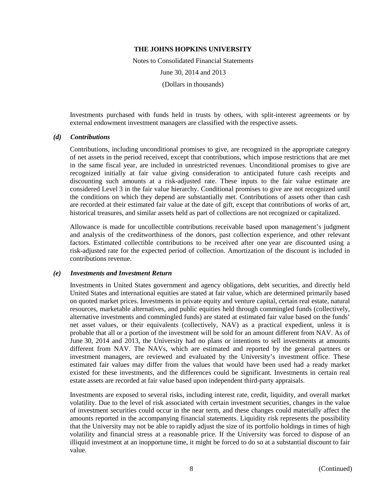Notes to Consolidated Financial Statements June 30, 2014 and 2013

(Dollars in thousands)

Investments purchased with funds held in trusts by others, with split-interest agreements or by external endowment investment managers are classified with the respective assets.

#### *(d) Contributions*

Contributions, including unconditional promises to give, are recognized in the appropriate category of net assets in the period received, except that contributions, which impose restrictions that are met in the same fiscal year, are included in unrestricted revenues. Unconditional promises to give are recognized initially at fair value giving consideration to anticipated future cash receipts and discounting such amounts at a risk-adjusted rate. These inputs to the fair value estimate are considered Level 3 in the fair value hierarchy. Conditional promises to give are not recognized until the conditions on which they depend are substantially met. Contributions of assets other than cash are recorded at their estimated fair value at the date of gift, except that contributions of works of art, historical treasures, and similar assets held as part of collections are not recognized or capitalized.

Allowance is made for uncollectible contributions receivable based upon management's judgment and analysis of the creditworthiness of the donors, past collection experience, and other relevant factors. Estimated collectible contributions to be received after one year are discounted using a risk-adjusted rate for the expected period of collection. Amortization of the discount is included in contributions revenue.

#### *(e) Investments and Investment Return*

Investments in United States government and agency obligations, debt securities, and directly held United States and international equities are stated at fair value, which are determined primarily based on quoted market prices. Investments in private equity and venture capital, certain real estate, natural resources, marketable alternatives, and public equities held through commingled funds (collectively, alternative investments and commingled funds) are stated at estimated fair value based on the funds' net asset values, or their equivalents (collectively, NAV) as a practical expedient, unless it is probable that all or a portion of the investment will be sold for an amount different from NAV. As of June 30, 2014 and 2013, the University had no plans or intentions to sell investments at amounts different from NAV. The NAVs, which are estimated and reported by the general partners or investment managers, are reviewed and evaluated by the University's investment office. These estimated fair values may differ from the values that would have been used had a ready market existed for these investments, and the differences could be significant. Investments in certain real estate assets are recorded at fair value based upon independent third-party appraisals.

Investments are exposed to several risks, including interest rate, credit, liquidity, and overall market volatility. Due to the level of risk associated with certain investment securities, changes in the value of investment securities could occur in the near term, and these changes could materially affect the amounts reported in the accompanying financial statements. Liquidity risk represents the possibility that the University may not be able to rapidly adjust the size of its portfolio holdings in times of high volatility and financial stress at a reasonable price. If the University was forced to dispose of an illiquid investment at an inopportune time, it might be forced to do so at a substantial discount to fair value.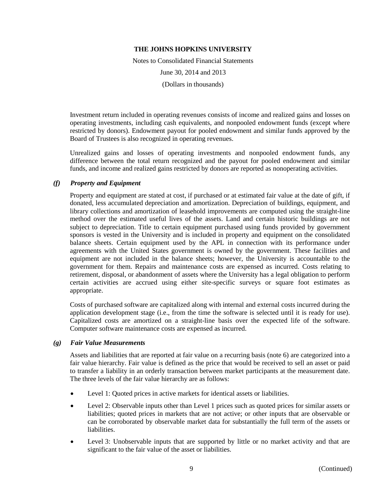Notes to Consolidated Financial Statements June 30, 2014 and 2013 (Dollars in thousands)

Investment return included in operating revenues consists of income and realized gains and losses on operating investments, including cash equivalents, and nonpooled endowment funds (except where restricted by donors). Endowment payout for pooled endowment and similar funds approved by the Board of Trustees is also recognized in operating revenues.

Unrealized gains and losses of operating investments and nonpooled endowment funds, any difference between the total return recognized and the payout for pooled endowment and similar funds, and income and realized gains restricted by donors are reported as nonoperating activities.

## *(f) Property and Equipment*

Property and equipment are stated at cost, if purchased or at estimated fair value at the date of gift, if donated, less accumulated depreciation and amortization. Depreciation of buildings, equipment, and library collections and amortization of leasehold improvements are computed using the straight-line method over the estimated useful lives of the assets. Land and certain historic buildings are not subject to depreciation. Title to certain equipment purchased using funds provided by government sponsors is vested in the University and is included in property and equipment on the consolidated balance sheets. Certain equipment used by the APL in connection with its performance under agreements with the United States government is owned by the government. These facilities and equipment are not included in the balance sheets; however, the University is accountable to the government for them. Repairs and maintenance costs are expensed as incurred. Costs relating to retirement, disposal, or abandonment of assets where the University has a legal obligation to perform certain activities are accrued using either site-specific surveys or square foot estimates as appropriate.

Costs of purchased software are capitalized along with internal and external costs incurred during the application development stage (i.e., from the time the software is selected until it is ready for use). Capitalized costs are amortized on a straight-line basis over the expected life of the software. Computer software maintenance costs are expensed as incurred.

#### *(g) Fair Value Measurements*

Assets and liabilities that are reported at fair value on a recurring basis (note 6) are categorized into a fair value hierarchy. Fair value is defined as the price that would be received to sell an asset or paid to transfer a liability in an orderly transaction between market participants at the measurement date. The three levels of the fair value hierarchy are as follows:

- Level 1: Quoted prices in active markets for identical assets or liabilities.
- Level 2: Observable inputs other than Level 1 prices such as quoted prices for similar assets or liabilities; quoted prices in markets that are not active; or other inputs that are observable or can be corroborated by observable market data for substantially the full term of the assets or liabilities.
- Level 3: Unobservable inputs that are supported by little or no market activity and that are significant to the fair value of the asset or liabilities.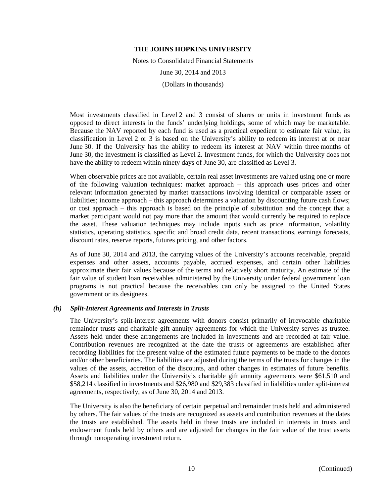Notes to Consolidated Financial Statements

June 30, 2014 and 2013

(Dollars in thousands)

Most investments classified in Level 2 and 3 consist of shares or units in investment funds as opposed to direct interests in the funds' underlying holdings, some of which may be marketable. Because the NAV reported by each fund is used as a practical expedient to estimate fair value, its classification in Level 2 or 3 is based on the University's ability to redeem its interest at or near June 30. If the University has the ability to redeem its interest at NAV within three months of June 30, the investment is classified as Level 2. Investment funds, for which the University does not have the ability to redeem within ninety days of June 30, are classified as Level 3.

When observable prices are not available, certain real asset investments are valued using one or more of the following valuation techniques: market approach – this approach uses prices and other relevant information generated by market transactions involving identical or comparable assets or liabilities; income approach – this approach determines a valuation by discounting future cash flows; or cost approach – this approach is based on the principle of substitution and the concept that a market participant would not pay more than the amount that would currently be required to replace the asset. These valuation techniques may include inputs such as price information, volatility statistics, operating statistics, specific and broad credit data, recent transactions, earnings forecasts, discount rates, reserve reports, futures pricing, and other factors.

As of June 30, 2014 and 2013, the carrying values of the University's accounts receivable, prepaid expenses and other assets, accounts payable, accrued expenses, and certain other liabilities approximate their fair values because of the terms and relatively short maturity. An estimate of the fair value of student loan receivables administered by the University under federal government loan programs is not practical because the receivables can only be assigned to the United States government or its designees.

#### *(h) Split-Interest Agreements and Interests in Trusts*

The University's split-interest agreements with donors consist primarily of irrevocable charitable remainder trusts and charitable gift annuity agreements for which the University serves as trustee. Assets held under these arrangements are included in investments and are recorded at fair value. Contribution revenues are recognized at the date the trusts or agreements are established after recording liabilities for the present value of the estimated future payments to be made to the donors and/or other beneficiaries. The liabilities are adjusted during the terms of the trusts for changes in the values of the assets, accretion of the discounts, and other changes in estimates of future benefits. Assets and liabilities under the University's charitable gift annuity agreements were \$61,510 and \$58,214 classified in investments and \$26,980 and \$29,383 classified in liabilities under split-interest agreements, respectively, as of June 30, 2014 and 2013.

The University is also the beneficiary of certain perpetual and remainder trusts held and administered by others. The fair values of the trusts are recognized as assets and contribution revenues at the dates the trusts are established. The assets held in these trusts are included in interests in trusts and endowment funds held by others and are adjusted for changes in the fair value of the trust assets through nonoperating investment return.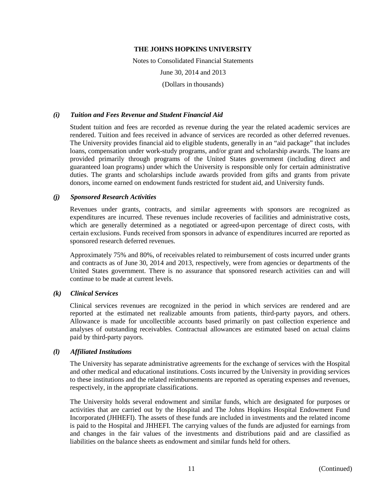Notes to Consolidated Financial Statements June 30, 2014 and 2013 (Dollars in thousands)

## *(i) Tuition and Fees Revenue and Student Financial Aid*

Student tuition and fees are recorded as revenue during the year the related academic services are rendered. Tuition and fees received in advance of services are recorded as other deferred revenues. The University provides financial aid to eligible students, generally in an "aid package" that includes loans, compensation under work-study programs, and/or grant and scholarship awards. The loans are provided primarily through programs of the United States government (including direct and guaranteed loan programs) under which the University is responsible only for certain administrative duties. The grants and scholarships include awards provided from gifts and grants from private donors, income earned on endowment funds restricted for student aid, and University funds.

## *(j) Sponsored Research Activities*

Revenues under grants, contracts, and similar agreements with sponsors are recognized as expenditures are incurred. These revenues include recoveries of facilities and administrative costs, which are generally determined as a negotiated or agreed-upon percentage of direct costs, with certain exclusions. Funds received from sponsors in advance of expenditures incurred are reported as sponsored research deferred revenues.

Approximately 75% and 80%, of receivables related to reimbursement of costs incurred under grants and contracts as of June 30, 2014 and 2013, respectively, were from agencies or departments of the United States government. There is no assurance that sponsored research activities can and will continue to be made at current levels.

## *(k) Clinical Services*

Clinical services revenues are recognized in the period in which services are rendered and are reported at the estimated net realizable amounts from patients, third-party payors, and others. Allowance is made for uncollectible accounts based primarily on past collection experience and analyses of outstanding receivables. Contractual allowances are estimated based on actual claims paid by third-party payors.

## *(l) Affiliated Institutions*

The University has separate administrative agreements for the exchange of services with the Hospital and other medical and educational institutions. Costs incurred by the University in providing services to these institutions and the related reimbursements are reported as operating expenses and revenues, respectively, in the appropriate classifications.

The University holds several endowment and similar funds, which are designated for purposes or activities that are carried out by the Hospital and The Johns Hopkins Hospital Endowment Fund Incorporated (JHHEFI). The assets of these funds are included in investments and the related income is paid to the Hospital and JHHEFI. The carrying values of the funds are adjusted for earnings from and changes in the fair values of the investments and distributions paid and are classified as liabilities on the balance sheets as endowment and similar funds held for others.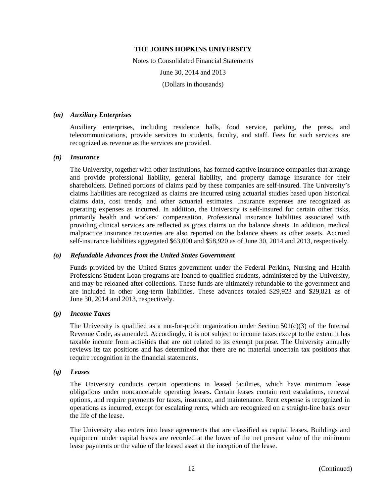Notes to Consolidated Financial Statements June 30, 2014 and 2013

(Dollars in thousands)

#### *(m) Auxiliary Enterprises*

Auxiliary enterprises, including residence halls, food service, parking, the press, and telecommunications, provide services to students, faculty, and staff. Fees for such services are recognized as revenue as the services are provided.

#### *(n) Insurance*

The University, together with other institutions, has formed captive insurance companies that arrange and provide professional liability, general liability, and property damage insurance for their shareholders. Defined portions of claims paid by these companies are self-insured. The University's claims liabilities are recognized as claims are incurred using actuarial studies based upon historical claims data, cost trends, and other actuarial estimates. Insurance expenses are recognized as operating expenses as incurred. In addition, the University is self-insured for certain other risks, primarily health and workers' compensation. Professional insurance liabilities associated with providing clinical services are reflected as gross claims on the balance sheets. In addition, medical malpractice insurance recoveries are also reported on the balance sheets as other assets. Accrued self-insurance liabilities aggregated \$63,000 and \$58,920 as of June 30, 2014 and 2013, respectively.

#### *(o) Refundable Advances from the United States Government*

Funds provided by the United States government under the Federal Perkins, Nursing and Health Professions Student Loan programs are loaned to qualified students, administered by the University, and may be reloaned after collections. These funds are ultimately refundable to the government and are included in other long-term liabilities. These advances totaled \$29,923 and \$29,821 as of June 30, 2014 and 2013, respectively.

## *(p) Income Taxes*

The University is qualified as a not-for-profit organization under Section  $501(c)(3)$  of the Internal Revenue Code, as amended. Accordingly, it is not subject to income taxes except to the extent it has taxable income from activities that are not related to its exempt purpose. The University annually reviews its tax positions and has determined that there are no material uncertain tax positions that require recognition in the financial statements.

#### *(q) Leases*

The University conducts certain operations in leased facilities, which have minimum lease obligations under noncancelable operating leases. Certain leases contain rent escalations, renewal options, and require payments for taxes, insurance, and maintenance. Rent expense is recognized in operations as incurred, except for escalating rents, which are recognized on a straight-line basis over the life of the lease.

The University also enters into lease agreements that are classified as capital leases. Buildings and equipment under capital leases are recorded at the lower of the net present value of the minimum lease payments or the value of the leased asset at the inception of the lease.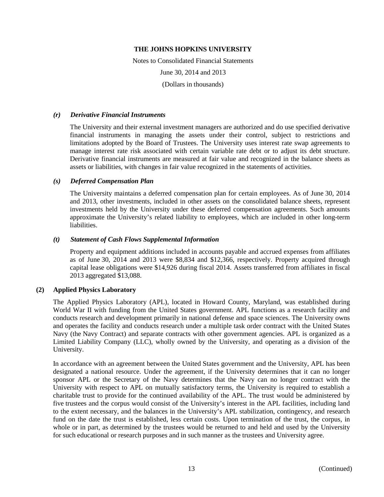Notes to Consolidated Financial Statements June 30, 2014 and 2013 (Dollars in thousands)

#### *(r) Derivative Financial Instruments*

The University and their external investment managers are authorized and do use specified derivative financial instruments in managing the assets under their control, subject to restrictions and limitations adopted by the Board of Trustees. The University uses interest rate swap agreements to manage interest rate risk associated with certain variable rate debt or to adjust its debt structure. Derivative financial instruments are measured at fair value and recognized in the balance sheets as assets or liabilities, with changes in fair value recognized in the statements of activities.

#### *(s) Deferred Compensation Plan*

The University maintains a deferred compensation plan for certain employees. As of June 30, 2014 and 2013, other investments, included in other assets on the consolidated balance sheets, represent investments held by the University under these deferred compensation agreements. Such amounts approximate the University's related liability to employees, which are included in other long-term liabilities.

## *(t) Statement of Cash Flows Supplemental Information*

Property and equipment additions included in accounts payable and accrued expenses from affiliates as of June 30, 2014 and 2013 were \$8,834 and \$12,366, respectively. Property acquired through capital lease obligations were \$14,926 during fiscal 2014. Assets transferred from affiliates in fiscal 2013 aggregated \$13,088.

## **(2) Applied Physics Laboratory**

The Applied Physics Laboratory (APL), located in Howard County, Maryland, was established during World War II with funding from the United States government. APL functions as a research facility and conducts research and development primarily in national defense and space sciences. The University owns and operates the facility and conducts research under a multiple task order contract with the United States Navy (the Navy Contract) and separate contracts with other government agencies. APL is organized as a Limited Liability Company (LLC), wholly owned by the University, and operating as a division of the University.

In accordance with an agreement between the United States government and the University, APL has been designated a national resource. Under the agreement, if the University determines that it can no longer sponsor APL or the Secretary of the Navy determines that the Navy can no longer contract with the University with respect to APL on mutually satisfactory terms, the University is required to establish a charitable trust to provide for the continued availability of the APL. The trust would be administered by five trustees and the corpus would consist of the University's interest in the APL facilities, including land to the extent necessary, and the balances in the University's APL stabilization, contingency, and research fund on the date the trust is established, less certain costs. Upon termination of the trust, the corpus, in whole or in part, as determined by the trustees would be returned to and held and used by the University for such educational or research purposes and in such manner as the trustees and University agree.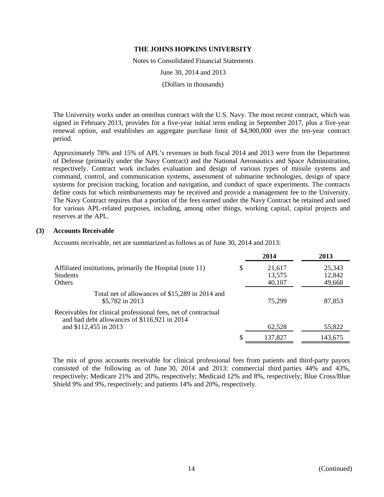Notes to Consolidated Financial Statements

June 30, 2014 and 2013

(Dollars in thousands)

The University works under an omnibus contract with the U.S. Navy. The most recent contract, which was signed in February 2013, provides for a five-year initial term ending in September 2017, plus a five-year renewal option, and establishes an aggregate purchase limit of \$4,900,000 over the ten-year contract period.

Approximately 78% and 15% of APL's revenues in both fiscal 2014 and 2013 were from the Department of Defense (primarily under the Navy Contract) and the National Aeronautics and Space Administration, respectively. Contract work includes evaluation and design of various types of missile systems and command, control, and communication systems, assessment of submarine technologies, design of space systems for precision tracking, location and navigation, and conduct of space experiments. The contracts define costs for which reimbursements may be received and provide a management fee to the University. The Navy Contract requires that a portion of the fees earned under the Navy Contract be retained and used for various APL-related purposes, including, among other things, working capital, capital projects and reserves at the APL.

#### **(3) Accounts Receivable**

Accounts receivable, net are summarized as follows as of June 30, 2014 and 2013:

|                                                                                                                                         |  | 2014                       | 2013                       |
|-----------------------------------------------------------------------------------------------------------------------------------------|--|----------------------------|----------------------------|
| Affiliated institutions, primarily the Hospital (note 11)<br><b>Students</b><br>Others                                                  |  | 21,617<br>13,575<br>40,107 | 25,343<br>12,842<br>49,668 |
| Total net of allowances of \$15,289 in 2014 and<br>\$5,782 in 2013                                                                      |  | 75,299                     | 87,853                     |
| Receivables for clinical professional fees, net of contractual<br>and bad debt allowances of \$116,921 in 2014<br>and \$112,455 in 2013 |  | 62,528                     | 55,822                     |
|                                                                                                                                         |  | 137.827                    | 143,675                    |

The mix of gross accounts receivable for clinical professional fees from patients and third-party payors consisted of the following as of June 30, 2014 and 2013: commercial third parties 44% and 43%, respectively; Medicare 21% and 20%, respectively; Medicaid 12% and 8%, respectively; Blue Cross/Blue Shield 9% and 9%, respectively; and patients 14% and 20%, respectively.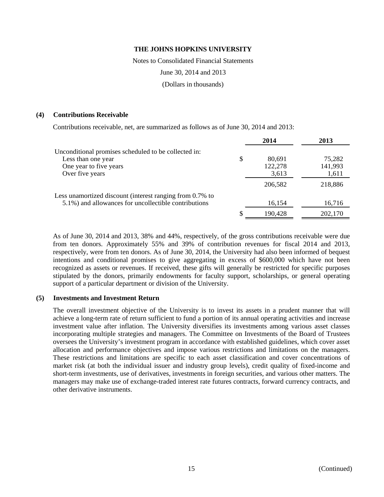Notes to Consolidated Financial Statements

June 30, 2014 and 2013

(Dollars in thousands)

### **(4) Contributions Receivable**

Contributions receivable, net, are summarized as follows as of June 30, 2014 and 2013:

|                                                                                                                         | 2014                             | 2013                       |
|-------------------------------------------------------------------------------------------------------------------------|----------------------------------|----------------------------|
| Unconditional promises scheduled to be collected in:<br>Less than one year<br>One year to five years<br>Over five years | \$<br>80,691<br>122,278<br>3,613 | 75,282<br>141,993<br>1,611 |
|                                                                                                                         | 206.582                          | 218,886                    |
| Less unamortized discount (interest ranging from 0.7% to<br>5.1%) and allowances for uncollectible contributions        | 16,154                           | 16,716                     |
|                                                                                                                         | 190,428                          | 202,170                    |

As of June 30, 2014 and 2013, 38% and 44%, respectively, of the gross contributions receivable were due from ten donors. Approximately 55% and 39% of contribution revenues for fiscal 2014 and 2013, respectively, were from ten donors. As of June 30, 2014, the University had also been informed of bequest intentions and conditional promises to give aggregating in excess of \$600,000 which have not been recognized as assets or revenues. If received, these gifts will generally be restricted for specific purposes stipulated by the donors, primarily endowments for faculty support, scholarships, or general operating support of a particular department or division of the University.

#### **(5) Investments and Investment Return**

The overall investment objective of the University is to invest its assets in a prudent manner that will achieve a long-term rate of return sufficient to fund a portion of its annual operating activities and increase investment value after inflation. The University diversifies its investments among various asset classes incorporating multiple strategies and managers. The Committee on Investments of the Board of Trustees oversees the University's investment program in accordance with established guidelines, which cover asset allocation and performance objectives and impose various restrictions and limitations on the managers. These restrictions and limitations are specific to each asset classification and cover concentrations of market risk (at both the individual issuer and industry group levels), credit quality of fixed-income and short-term investments, use of derivatives, investments in foreign securities, and various other matters. The managers may make use of exchange-traded interest rate futures contracts, forward currency contracts, and other derivative instruments.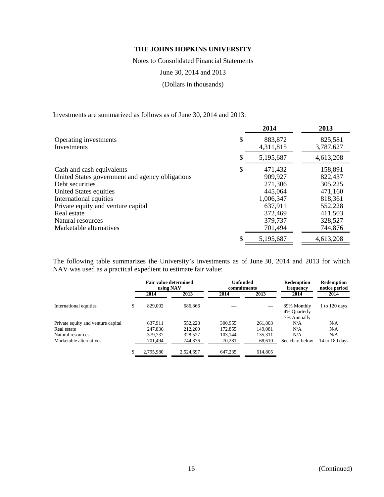Notes to Consolidated Financial Statements

June 30, 2014 and 2013

(Dollars in thousands)

Investments are summarized as follows as of June 30, 2014 and 2013:

|                                                                                                                                                                                                                                                          | 2014                                                                                                    | 2013                                                                                            |
|----------------------------------------------------------------------------------------------------------------------------------------------------------------------------------------------------------------------------------------------------------|---------------------------------------------------------------------------------------------------------|-------------------------------------------------------------------------------------------------|
| Operating investments<br>Investments                                                                                                                                                                                                                     | \$<br>883,872<br>4,311,815                                                                              | 825,581<br>3,787,627                                                                            |
|                                                                                                                                                                                                                                                          | 5,195,687                                                                                               | 4,613,208                                                                                       |
| Cash and cash equivalents<br>United States government and agency obligations<br>Debt securities<br>United States equities<br>International equities<br>Private equity and venture capital<br>Real estate<br>Natural resources<br>Marketable alternatives | \$<br>471,432<br>909,927<br>271,306<br>445,064<br>1,006,347<br>637,911<br>372,469<br>379,737<br>701,494 | 158,891<br>822,437<br>305,225<br>471,160<br>818,361<br>552,228<br>411,503<br>328,527<br>744,876 |
|                                                                                                                                                                                                                                                          | 5,195,687                                                                                               | 4,613,208                                                                                       |

The following table summarizes the University's investments as of June 30, 2014 and 2013 for which NAV was used as a practical expedient to estimate fair value:

|                                    | <b>Fair value determined</b><br>using NAV |           | <b>Unfunded</b><br>commitments |         | <b>Redemption</b><br>frequency             | Redemption<br>notice period |
|------------------------------------|-------------------------------------------|-----------|--------------------------------|---------|--------------------------------------------|-----------------------------|
|                                    | 2014                                      | 2013      | 2014                           | 2013    | 2014                                       | 2014                        |
| International equities             | \$<br>829,002                             | 686,866   |                                |         | 89% Monthly<br>4% Quarterly<br>7% Annually | to 120 days                 |
| Private equity and venture capital | 637,911                                   | 552,228   | 300,955                        | 261,803 | N/A                                        | N/A                         |
| Real estate                        | 247,836                                   | 212,200   | 172,855                        | 149.081 | N/A                                        | N/A                         |
| Natural resources                  | 379,737                                   | 328,527   | 103.144                        | 135,311 | N/A                                        | N/A                         |
| Marketable alternatives            | 701,494                                   | 744.876   | 70,281                         | 68,610  | See chart below                            | 14 to 180 days              |
|                                    | \$<br>2,795,980                           | 2.524.697 | 647,235                        | 614,805 |                                            |                             |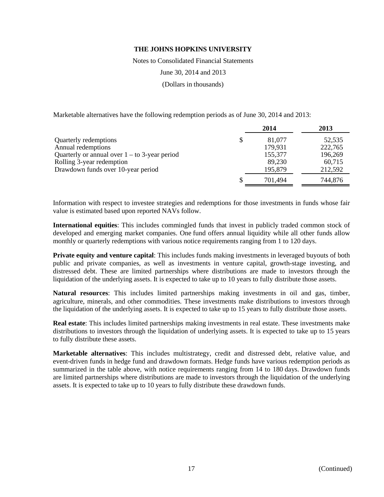Notes to Consolidated Financial Statements

June 30, 2014 and 2013

(Dollars in thousands)

Marketable alternatives have the following redemption periods as of June 30, 2014 and 2013:

|                                                 |    | 2014    | 2013    |
|-------------------------------------------------|----|---------|---------|
| Quarterly redemptions                           | \$ | 81,077  | 52,535  |
| Annual redemptions                              |    | 179,931 | 222,765 |
| Quarterly or annual over $1 -$ to 3-year period |    | 155,377 | 196,269 |
| Rolling 3-year redemption                       |    | 89,230  | 60,715  |
| Drawdown funds over 10-year period              |    | 195,879 | 212,592 |
|                                                 | S  | 701.494 | 744,876 |
|                                                 |    |         |         |

Information with respect to investee strategies and redemptions for those investments in funds whose fair value is estimated based upon reported NAVs follow.

**International equities**: This includes commingled funds that invest in publicly traded common stock of developed and emerging market companies. One fund offers annual liquidity while all other funds allow monthly or quarterly redemptions with various notice requirements ranging from 1 to 120 days.

**Private equity and venture capital**: This includes funds making investments in leveraged buyouts of both public and private companies, as well as investments in venture capital, growth-stage investing, and distressed debt. These are limited partnerships where distributions are made to investors through the liquidation of the underlying assets. It is expected to take up to 10 years to fully distribute those assets.

**Natural resources**: This includes limited partnerships making investments in oil and gas, timber, agriculture, minerals, and other commodities. These investments make distributions to investors through the liquidation of the underlying assets. It is expected to take up to 15 years to fully distribute those assets.

**Real estate**: This includes limited partnerships making investments in real estate. These investments make distributions to investors through the liquidation of underlying assets. It is expected to take up to 15 years to fully distribute these assets.

**Marketable alternatives**: This includes multistrategy, credit and distressed debt, relative value, and event-driven funds in hedge fund and drawdown formats. Hedge funds have various redemption periods as summarized in the table above, with notice requirements ranging from 14 to 180 days. Drawdown funds are limited partnerships where distributions are made to investors through the liquidation of the underlying assets. It is expected to take up to 10 years to fully distribute these drawdown funds.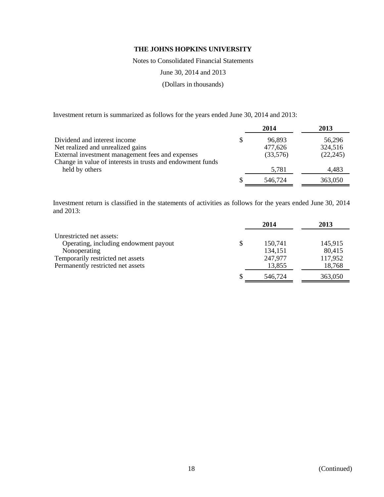Notes to Consolidated Financial Statements

June 30, 2014 and 2013

(Dollars in thousands)

Investment return is summarized as follows for the years ended June 30, 2014 and 2013:

|                                                            | 2014         | 2013      |
|------------------------------------------------------------|--------------|-----------|
| Dividend and interest income                               | \$<br>96,893 | 56,296    |
| Net realized and unrealized gains                          | 477,626      | 324,516   |
| External investment management fees and expenses           | (33,576)     | (22, 245) |
| Change in value of interests in trusts and endowment funds |              |           |
| held by others                                             | 5,781        | 4,483     |
|                                                            | 546,724      | 363,050   |

Investment return is classified in the statements of activities as follows for the years ended June 30, 2014 and 2013:

|                                       | 2014          | 2013    |
|---------------------------------------|---------------|---------|
| Unrestricted net assets:              |               |         |
| Operating, including endowment payout | \$<br>150,741 | 145,915 |
| Nonoperating                          | 134,151       | 80,415  |
| Temporarily restricted net assets     | 247,977       | 117,952 |
| Permanently restricted net assets     | 13,855        | 18,768  |
|                                       | 546.724       | 363,050 |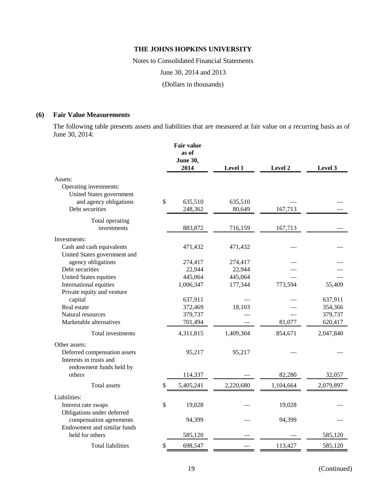Notes to Consolidated Financial Statements

June 30, 2014 and 2013

(Dollars in thousands)

## **(6) Fair Value Measurements**

The following table presents assets and liabilities that are measured at fair value on a recurring basis as of June 30, 2014:

|                                                           |               | <b>Fair value</b><br>as of<br><b>June 30,</b><br>2014 | Level 1   | Level 2   | Level 3   |
|-----------------------------------------------------------|---------------|-------------------------------------------------------|-----------|-----------|-----------|
| Assets:                                                   |               |                                                       |           |           |           |
| Operating investments:                                    |               |                                                       |           |           |           |
| United States government                                  |               |                                                       |           |           |           |
| and agency obligations                                    | $\mathcal{S}$ | 635,510                                               | 635,510   |           |           |
| Debt securities                                           |               | 248,362                                               | 80,649    | 167,713   |           |
| Total operating                                           |               |                                                       |           |           |           |
| investments                                               |               | 883,872                                               | 716,159   | 167,713   |           |
|                                                           |               |                                                       |           |           |           |
| Investments:                                              |               |                                                       |           |           |           |
| Cash and cash equivalents<br>United States government and |               | 471,432                                               | 471,432   |           |           |
| agency obligations                                        |               | 274,417                                               | 274,417   |           |           |
| Debt securities                                           |               | 22,944                                                | 22,944    |           |           |
| <b>United States equities</b>                             |               | 445,064                                               | 445,064   |           |           |
| International equities                                    |               | 1,006,347                                             | 177,344   | 773,594   | 55,409    |
| Private equity and venture                                |               |                                                       |           |           |           |
| capital                                                   |               | 637,911                                               |           |           | 637,911   |
| Real estate                                               |               | 372,469                                               | 18,103    |           | 354,366   |
| Natural resources                                         |               | 379,737                                               |           |           | 379,737   |
| Marketable alternatives                                   |               | 701,494                                               |           | 81,077    | 620,417   |
| Total investments                                         |               | 4,311,815                                             | 1,409,304 | 854,671   | 2,047,840 |
| Other assets:                                             |               |                                                       |           |           |           |
| Deferred compensation assets                              |               | 95,217                                                | 95,217    |           |           |
| Interests in trusts and                                   |               |                                                       |           |           |           |
| endowment funds held by                                   |               |                                                       |           |           |           |
| others                                                    |               | 114,337                                               |           | 82,280    | 32,057    |
| <b>Total assets</b>                                       | \$            | 5,405,241                                             | 2,220,680 | 1,104,664 | 2,079,897 |
| Liabilities:                                              |               |                                                       |           |           |           |
| Interest rate swaps                                       | \$            | 19,028                                                |           | 19,028    |           |
| Obligations under deferred                                |               |                                                       |           |           |           |
| compensation agreements                                   |               | 94,399                                                |           | 94,399    |           |
| Endowment and similar funds                               |               |                                                       |           |           |           |
| held for others                                           |               | 585,120                                               |           |           | 585,120   |
| Total liabilities                                         | \$            | 698,547                                               |           | 113,427   | 585,120   |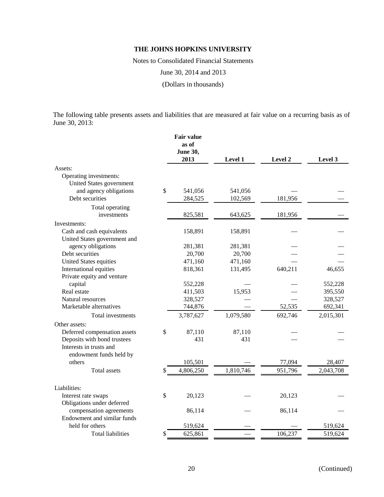Notes to Consolidated Financial Statements

June 30, 2014 and 2013

(Dollars in thousands)

The following table presents assets and liabilities that are measured at fair value on a recurring basis as of June 30, 2013:

|                               | <b>Fair value</b> |           |         |           |
|-------------------------------|-------------------|-----------|---------|-----------|
|                               | as of             |           |         |           |
|                               | <b>June 30,</b>   |           |         |           |
|                               | 2013              | Level 1   | Level 2 | Level 3   |
| Assets:                       |                   |           |         |           |
| Operating investments:        |                   |           |         |           |
| United States government      |                   |           |         |           |
| and agency obligations        | \$<br>541,056     | 541,056   |         |           |
| Debt securities               | 284,525           | 102,569   | 181,956 |           |
| Total operating               |                   |           |         |           |
| investments                   | 825,581           | 643,625   | 181,956 |           |
| Investments:                  |                   |           |         |           |
| Cash and cash equivalents     | 158,891           | 158,891   |         |           |
| United States government and  |                   |           |         |           |
| agency obligations            | 281,381           | 281,381   |         |           |
| Debt securities               | 20,700            | 20,700    |         |           |
| <b>United States equities</b> | 471,160           | 471,160   |         |           |
| International equities        | 818,361           | 131,495   | 640,211 | 46,655    |
| Private equity and venture    |                   |           |         |           |
| capital                       | 552,228           |           |         | 552,228   |
| Real estate                   | 411,503           | 15,953    |         | 395,550   |
| Natural resources             | 328,527           |           |         | 328,527   |
| Marketable alternatives       | 744,876           |           | 52,535  | 692,341   |
| Total investments             | 3,787,627         | 1,079,580 | 692,746 | 2,015,301 |
| Other assets:                 |                   |           |         |           |
| Deferred compensation assets  | \$<br>87,110      | 87,110    |         |           |
| Deposits with bond trustees   | 431               | 431       |         |           |
| Interests in trusts and       |                   |           |         |           |
| endowment funds held by       |                   |           |         |           |
| others                        | 105,501           |           | 77,094  | 28,407    |
| <b>Total assets</b>           | \$<br>4,806,250   | 1,810,746 | 951,796 | 2,043,708 |
|                               |                   |           |         |           |
| Liabilities:                  |                   |           |         |           |
| Interest rate swaps           | \$<br>20,123      |           | 20,123  |           |
| Obligations under deferred    |                   |           |         |           |
| compensation agreements       | 86,114            |           | 86,114  |           |
| Endowment and similar funds   |                   |           |         |           |
| held for others               | 519,624           |           |         | 519,624   |
| Total liabilities             | \$<br>625,861     |           | 106,237 | 519,624   |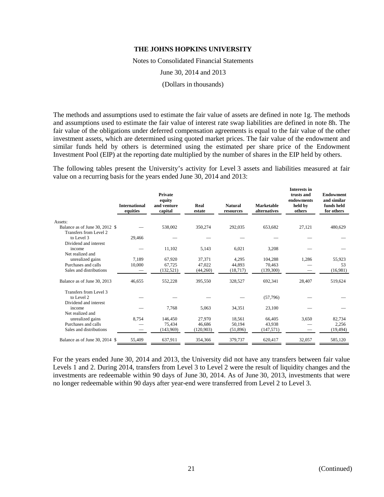Notes to Consolidated Financial Statements

June 30, 2014 and 2013

(Dollars in thousands)

The methods and assumptions used to estimate the fair value of assets are defined in note 1g. The methods and assumptions used to estimate the fair value of interest rate swap liabilities are defined in note 8h. The fair value of the obligations under deferred compensation agreements is equal to the fair value of the other investment assets, which are determined using quoted market prices. The fair value of the endowment and similar funds held by others is determined using the estimated per share price of the Endowment Investment Pool (EIP) at the reporting date multiplied by the number of shares in the EIP held by others.

The following tables present the University's activity for Level 3 assets and liabilities measured at fair value on a recurring basis for the years ended June 30, 2014 and 2013:

|                                                          | <b>International</b><br>equities | Private<br>equity<br>and venture<br>capital | Real<br>estate | <b>Natural</b><br>resources | Marketable<br>alternatives | <b>Interests in</b><br>trusts and<br>endowments<br>held by<br>others | <b>Endowment</b><br>and similar<br>funds held<br>for others |
|----------------------------------------------------------|----------------------------------|---------------------------------------------|----------------|-----------------------------|----------------------------|----------------------------------------------------------------------|-------------------------------------------------------------|
| Assets:                                                  |                                  |                                             |                |                             |                            |                                                                      |                                                             |
| Balance as of June 30, 2012 \$<br>Transfers from Level 2 |                                  | 538,002                                     | 350,274        | 292,035                     | 653,682                    | 27,121                                                               | 480,629                                                     |
| to Level 3<br>Dividend and interest                      | 29,466                           |                                             |                |                             |                            |                                                                      |                                                             |
| income<br>Net realized and                               |                                  | 11,102                                      | 5,143          | 6,021                       | 3,208                      |                                                                      |                                                             |
| unrealized gains                                         | 7,189                            | 67,920                                      | 37,371         | 4,295                       | 104,288                    | 1,286                                                                | 55,923                                                      |
| Purchases and calls                                      | 10,000                           | 67,725                                      | 47,022         | 44,893                      | 70,463                     |                                                                      | 53                                                          |
| Sales and distributions                                  |                                  | (132, 521)                                  | (44,260)       | (18, 717)                   | (139,300)                  |                                                                      | (16,981)                                                    |
| Balance as of June 30, 2013                              | 46,655                           | 552,228                                     | 395,550        | 328,527                     | 692,341                    | 28,407                                                               | 519,624                                                     |
| Transfers from Level 3<br>to Level 2                     |                                  |                                             |                |                             | (57,796)                   |                                                                      |                                                             |
| Dividend and interest                                    |                                  |                                             |                |                             |                            |                                                                      |                                                             |
| income                                                   |                                  | 7,768                                       | 5,063          | 34,351                      | 23,100                     |                                                                      |                                                             |
| Net realized and                                         |                                  |                                             |                |                             |                            |                                                                      |                                                             |
| unrealized gains                                         | 8,754                            | 146,450                                     | 27,970         | 18,561                      | 66,405                     | 3,650                                                                | 82,734                                                      |
| Purchases and calls                                      |                                  | 75,434                                      | 46,686         | 50,194                      | 43,938                     |                                                                      | 2,256                                                       |
| Sales and distributions                                  |                                  | (143,969)                                   | (120, 903)     | (51, 896)                   | (147, 571)                 |                                                                      | (19, 494)                                                   |
| Balance as of June 30, 2014 \$                           | 55,409                           | 637,911                                     | 354,366        | 379,737                     | 620,417                    | 32,057                                                               | 585,120                                                     |

For the years ended June 30, 2014 and 2013, the University did not have any transfers between fair value Levels 1 and 2. During 2014, transfers from Level 3 to Level 2 were the result of liquidity changes and the investments are redeemable within 90 days of June 30, 2014. As of June 30, 2013, investments that were no longer redeemable within 90 days after year-end were transferred from Level 2 to Level 3.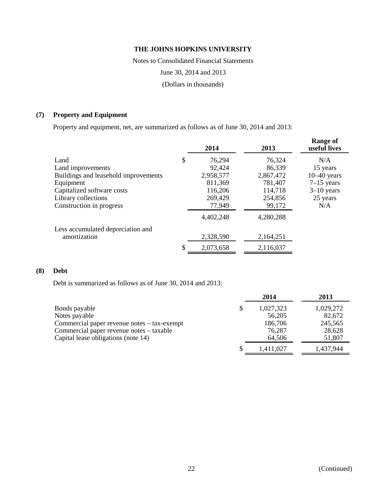Notes to Consolidated Financial Statements

June 30, 2014 and 2013

(Dollars in thousands)

## **(7) Property and Equipment**

Property and equipment, net, are summarized as follows as of June 30, 2014 and 2013:

|                                      | 2014            | 2013      | <b>Range of</b><br>useful lives |
|--------------------------------------|-----------------|-----------|---------------------------------|
| Land                                 | \$<br>76,294    | 76,324    | N/A                             |
| Land improvements                    | 92,424          | 86,339    | 15 years                        |
| Buildings and leasehold improvements | 2,958,577       | 2,867,472 | $10-40$ years                   |
| Equipment                            | 811,369         | 781,407   | $7-15$ years                    |
| Capitalized software costs           | 116,206         | 114,718   | $3-10$ years                    |
| Library collections                  | 269,429         | 254,856   | 25 years                        |
| Construction in progress             | 77,949          | 99,172    | N/A                             |
|                                      | 4,402,248       | 4,280,288 |                                 |
| Less accumulated depreciation and    |                 |           |                                 |
| amortization                         | 2,328,590       | 2,164,251 |                                 |
|                                      | \$<br>2,073,658 | 2,116,037 |                                 |

## **(8) Debt**

Debt is summarized as follows as of June 30, 2014 and 2013:

|                                             | 2014            | 2013      |
|---------------------------------------------|-----------------|-----------|
| Bonds payable                               | \$<br>1,027,323 | 1,029,272 |
| Notes payable                               | 56,205          | 82,672    |
| Commercial paper revenue notes – tax-exempt | 186,706         | 245,565   |
| Commercial paper revenue notes – taxable    | 76.287          | 28,628    |
| Capital lease obligations (note 14)         | 64,506          | 51,807    |
|                                             | 1,411,027       | 1,437,944 |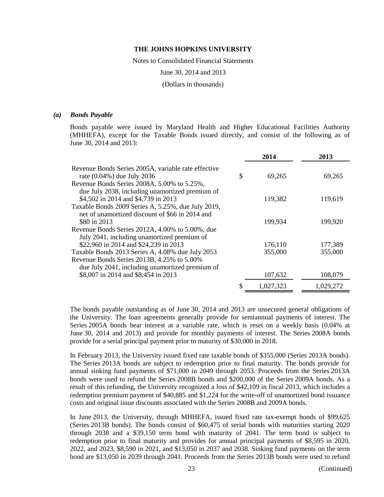Notes to Consolidated Financial Statements

June 30, 2014 and 2013

(Dollars in thousands)

#### *(a) Bonds Payable*

Bonds payable were issued by Maryland Health and Higher Educational Facilities Authority (MHHEFA), except for the Taxable Bonds issued directly, and consist of the following as of June 30, 2014 and 2013:

|                                                                                                                                       | 2014         | 2013      |
|---------------------------------------------------------------------------------------------------------------------------------------|--------------|-----------|
| Revenue Bonds Series 2005A, variable rate effective<br>rate $(0.04\%)$ due July 2036                                                  | \$<br>69,265 | 69,265    |
| Revenue Bonds Series 2008A, 5.00% to 5.25%,<br>due July 2038, including unamortized premium of<br>\$4,502 in 2014 and \$4,739 in 2013 | 119,382      | 119,619   |
| Taxable Bonds 2009 Series A, 5.25%, due July 2019,<br>net of unamortized discount of \$66 in 2014 and<br>\$80 in 2013                 | 199,934      | 199,920   |
| Revenue Bonds Series 2012A, 4.00% to 5.00%, due<br>July 2041, including unamortized premium of                                        |              |           |
| \$22,960 in 2014 and \$24,239 in 2013                                                                                                 | 176,110      | 177,389   |
| Taxable Bonds 2013 Series A, 4.08% due July 2053                                                                                      | 355,000      | 355,000   |
| Revenue Bonds Series 2013B, 4.25% to 5.00%                                                                                            |              |           |
| due July 2041, including unamortized premium of                                                                                       |              |           |
| \$8,007 in 2014 and \$8,454 in 2013                                                                                                   | 107,632      | 108,079   |
|                                                                                                                                       | 1,027,323    | 1,029,272 |

The bonds payable outstanding as of June 30, 2014 and 2013 are unsecured general obligations of the University. The loan agreements generally provide for semiannual payments of interest. The Series 2005A bonds bear interest at a variable rate, which is reset on a weekly basis (0.04% at June 30, 2014 and 2013) and provide for monthly payments of interest. The Series 2008A bonds provide for a serial principal payment prior to maturity of \$30,000 in 2018.

In February 2013, the University issued fixed rate taxable bonds of \$355,000 (Series 2013A bonds). The Series 2013A bonds are subject to redemption prior to final maturity. The bonds provide for annual sinking fund payments of \$71,000 in 2049 through 2053. Proceeds from the Series 2013A bonds were used to refund the Series 2008B bonds and \$200,000 of the Series 2009A bonds. As a result of this refunding, the University recognized a loss of \$42,109 in fiscal 2013, which includes a redemption premium payment of \$40,885 and \$1,224 for the write-off of unamortized bond issuance costs and original issue discounts associated with the Series 2008B and 2009A bonds.

In June 2013, the University, through MHHEFA, issued fixed rate tax-exempt bonds of \$99,625 (Series 2013B bonds). The bonds consist of \$60,475 of serial bonds with maturities starting 2020 through 2038 and a \$39,150 term bond with maturity of 2041. The term bond is subject to redemption prior to final maturity and provides for annual principal payments of \$8,595 in 2020, 2022, and 2023, \$8,590 in 2021, and \$13,050 in 2037 and 2038. Sinking fund payments on the term bond are \$13,050 in 2039 through 2041. Proceeds from the Series 2013B bonds were used to refund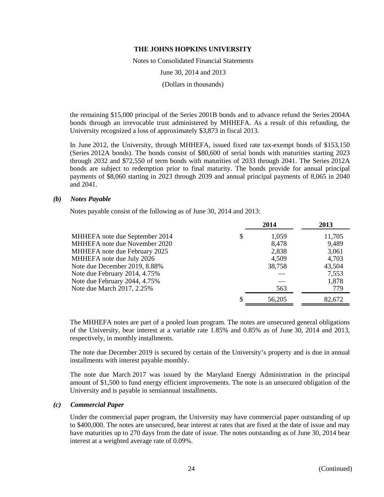Notes to Consolidated Financial Statements

June 30, 2014 and 2013

(Dollars in thousands)

the remaining \$15,000 principal of the Series 2001B bonds and to advance refund the Series 2004A bonds through an irrevocable trust administered by MHHEFA. As a result of this refunding, the University recognized a loss of approximately \$3,873 in fiscal 2013.

In June 2012, the University, through MHHEFA, issued fixed rate tax-exempt bonds of \$153,150 (Series 2012A bonds). The bonds consist of \$80,600 of serial bonds with maturities starting 2023 through 2032 and \$72,550 of term bonds with maturities of 2033 through 2041. The Series 2012A bonds are subject to redemption prior to final maturity. The bonds provide for annual principal payments of \$8,060 starting in 2023 through 2039 and annual principal payments of 8,065 in 2040 and 2041.

#### *(b) Notes Payable*

Notes payable consist of the following as of June 30, 2014 and 2013:

|                                | 2014        |        |  |
|--------------------------------|-------------|--------|--|
| MHHEFA note due September 2014 | \$<br>1,059 | 11,705 |  |
| MHHEFA note due November 2020  | 8,478       | 9,489  |  |
| MHHEFA note due February 2025  | 2,838       | 3,061  |  |
| MHHEFA note due July 2026      | 4,509       | 4,703  |  |
| Note due December 2019, 8.88%  | 38,758      | 43,504 |  |
| Note due February 2014, 4.75%  |             | 7,553  |  |
| Note due February 2044, 4.75%  |             | 1,878  |  |
| Note due March 2017, 2.25%     | 563         | 779    |  |
|                                | 56,205      | 82,672 |  |

The MHHEFA notes are part of a pooled loan program. The notes are unsecured general obligations of the University, bear interest at a variable rate 1.85% and 0.85% as of June 30, 2014 and 2013, respectively, in monthly installments.

The note due December 2019 is secured by certain of the University's property and is due in annual installments with interest payable monthly.

The note due March 2017 was issued by the Maryland Energy Administration in the principal amount of \$1,500 to fund energy efficient improvements. The note is an unsecured obligation of the University and is payable in semiannual installments.

## *(c) Commercial Paper*

Under the commercial paper program, the University may have commercial paper outstanding of up to \$400,000. The notes are unsecured, bear interest at rates that are fixed at the date of issue and may have maturities up to 270 days from the date of issue. The notes outstanding as of June 30, 2014 bear interest at a weighted average rate of 0.09%.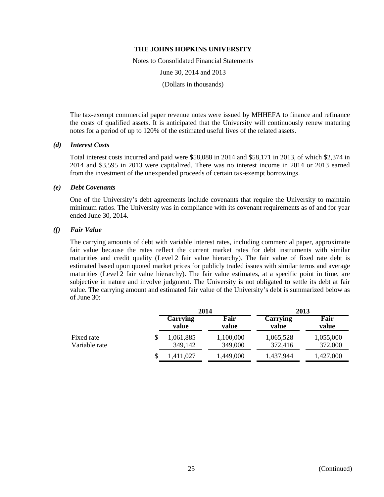Notes to Consolidated Financial Statements

June 30, 2014 and 2013

(Dollars in thousands)

The tax-exempt commercial paper revenue notes were issued by MHHEFA to finance and refinance the costs of qualified assets. It is anticipated that the University will continuously renew maturing notes for a period of up to 120% of the estimated useful lives of the related assets.

#### *(d) Interest Costs*

Total interest costs incurred and paid were \$58,088 in 2014 and \$58,171 in 2013, of which \$2,374 in 2014 and \$3,595 in 2013 were capitalized. There was no interest income in 2014 or 2013 earned from the investment of the unexpended proceeds of certain tax-exempt borrowings.

#### *(e) Debt Covenants*

One of the University's debt agreements include covenants that require the University to maintain minimum ratios. The University was in compliance with its covenant requirements as of and for year ended June 30, 2014.

#### *(f) Fair Value*

The carrying amounts of debt with variable interest rates, including commercial paper, approximate fair value because the rates reflect the current market rates for debt instruments with similar maturities and credit quality (Level 2 fair value hierarchy). The fair value of fixed rate debt is estimated based upon quoted market prices for publicly traded issues with similar terms and average maturities (Level 2 fair value hierarchy). The fair value estimates, at a specific point in time, are subjective in nature and involve judgment. The University is not obligated to settle its debt at fair value. The carrying amount and estimated fair value of the University's debt is summarized below as of June 30:

|                             | 2014                 |                      | 2013                 |                      |  |
|-----------------------------|----------------------|----------------------|----------------------|----------------------|--|
|                             | Carrying<br>value    | Fair<br>value        | Carrying<br>value    | Fair<br>value        |  |
| Fixed rate<br>Variable rate | 1,061,885<br>349,142 | 1,100,000<br>349,000 | 1,065,528<br>372,416 | 1,055,000<br>372,000 |  |
|                             | 1,411,027            | 1,449,000            | 1,437,944            | 1,427,000            |  |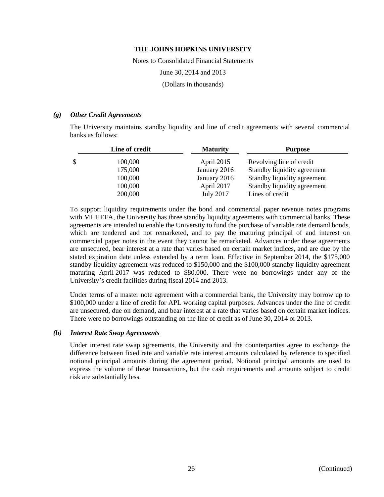Notes to Consolidated Financial Statements

June 30, 2014 and 2013

(Dollars in thousands)

#### *(g) Other Credit Agreements*

The University maintains standby liquidity and line of credit agreements with several commercial banks as follows:

| Line of credit | <b>Maturity</b>  | <b>Purpose</b>              |
|----------------|------------------|-----------------------------|
| 100,000        | April 2015       | Revolving line of credit    |
| 175,000        | January 2016     | Standby liquidity agreement |
| 100,000        | January 2016     | Standby liquidity agreement |
| 100,000        | April 2017       | Standby liquidity agreement |
| 200,000        | <b>July 2017</b> | Lines of credit             |

To support liquidity requirements under the bond and commercial paper revenue notes programs with MHHEFA, the University has three standby liquidity agreements with commercial banks. These agreements are intended to enable the University to fund the purchase of variable rate demand bonds, which are tendered and not remarketed, and to pay the maturing principal of and interest on commercial paper notes in the event they cannot be remarketed. Advances under these agreements are unsecured, bear interest at a rate that varies based on certain market indices, and are due by the stated expiration date unless extended by a term loan. Effective in September 2014, the \$175,000 standby liquidity agreement was reduced to \$150,000 and the \$100,000 standby liquidity agreement maturing April 2017 was reduced to \$80,000. There were no borrowings under any of the University's credit facilities during fiscal 2014 and 2013.

Under terms of a master note agreement with a commercial bank, the University may borrow up to \$100,000 under a line of credit for APL working capital purposes. Advances under the line of credit are unsecured, due on demand, and bear interest at a rate that varies based on certain market indices. There were no borrowings outstanding on the line of credit as of June 30, 2014 or 2013.

#### *(h) Interest Rate Swap Agreements*

Under interest rate swap agreements, the University and the counterparties agree to exchange the difference between fixed rate and variable rate interest amounts calculated by reference to specified notional principal amounts during the agreement period. Notional principal amounts are used to express the volume of these transactions, but the cash requirements and amounts subject to credit risk are substantially less.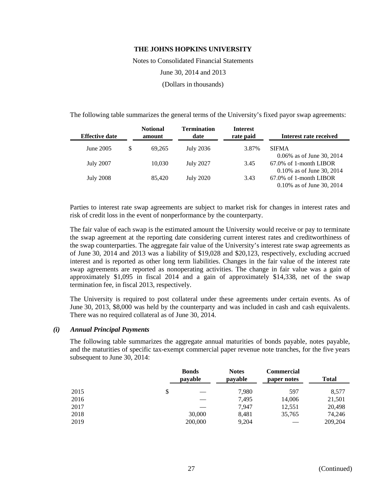Notes to Consolidated Financial Statements June 30, 2014 and 2013 (Dollars in thousands)

The following table summarizes the general terms of the University's fixed payor swap agreements:

| <b>Effective date</b> |     | <b>Notional</b><br>amount | <b>Termination</b><br>date | <b>Interest</b><br>rate paid | Interest rate received                                    |
|-----------------------|-----|---------------------------|----------------------------|------------------------------|-----------------------------------------------------------|
| June 2005             | \$. | 69.265                    | July 2036                  | 3.87%                        | <b>SIFMA</b><br>$0.06\%$ as of June 30, 2014              |
| <b>July 2007</b>      |     | 10.030                    | <b>July 2027</b>           | 3.45                         | $67.0\%$ of 1-month LIBOR<br>$0.10\%$ as of June 30, 2014 |
| <b>July 2008</b>      |     | 85,420                    | <b>July 2020</b>           | 3.43                         | 67.0% of 1-month LIBOR<br>$0.10\%$ as of June 30, 2014    |

Parties to interest rate swap agreements are subject to market risk for changes in interest rates and risk of credit loss in the event of nonperformance by the counterparty.

The fair value of each swap is the estimated amount the University would receive or pay to terminate the swap agreement at the reporting date considering current interest rates and creditworthiness of the swap counterparties. The aggregate fair value of the University's interest rate swap agreements as of June 30, 2014 and 2013 was a liability of \$19,028 and \$20,123, respectively, excluding accrued interest and is reported as other long term liabilities. Changes in the fair value of the interest rate swap agreements are reported as nonoperating activities. The change in fair value was a gain of approximately \$1,095 in fiscal 2014 and a gain of approximately \$14,338, net of the swap termination fee, in fiscal 2013, respectively.

The University is required to post collateral under these agreements under certain events. As of June 30, 2013, \$8,000 was held by the counterparty and was included in cash and cash equivalents. There was no required collateral as of June 30, 2014.

#### *(i) Annual Principal Payments*

The following table summarizes the aggregate annual maturities of bonds payable, notes payable, and the maturities of specific tax-exempt commercial paper revenue note tranches, for the five years subsequent to June 30, 2014:

|      | <b>Bonds</b><br>payable | <b>Notes</b><br>payable | <b>Commercial</b><br>paper notes | <b>Total</b> |
|------|-------------------------|-------------------------|----------------------------------|--------------|
| 2015 | \$                      | 7,980                   | 597                              | 8,577        |
| 2016 |                         | 7,495                   | 14,006                           | 21,501       |
| 2017 |                         | 7,947                   | 12,551                           | 20,498       |
| 2018 | 30,000                  | 8,481                   | 35,765                           | 74,246       |
| 2019 | 200,000                 | 9,204                   |                                  | 209,204      |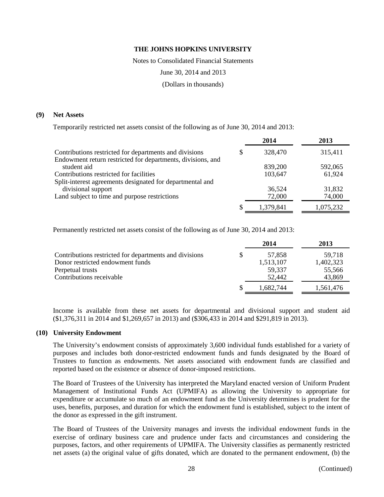Notes to Consolidated Financial Statements

June 30, 2014 and 2013

#### (Dollars in thousands)

#### **(9) Net Assets**

Temporarily restricted net assets consist of the following as of June 30, 2014 and 2013:

|                                                             | 2014      | 2013      |
|-------------------------------------------------------------|-----------|-----------|
| Contributions restricted for departments and divisions      | 328,470   | 315,411   |
| Endowment return restricted for departments, divisions, and |           |           |
| student aid                                                 | 839,200   | 592,065   |
| Contributions restricted for facilities                     | 103,647   | 61,924    |
| Split-interest agreements designated for departmental and   |           |           |
| divisional support                                          | 36,524    | 31,832    |
| Land subject to time and purpose restrictions               | 72,000    | 74,000    |
|                                                             | 1,379,841 | 1,075,232 |

Permanently restricted net assets consist of the following as of June 30, 2014 and 2013:

| 2014      | 2013      |
|-----------|-----------|
| 57.858    | 59.718    |
| 1,513,107 | 1,402,323 |
| 59.337    | 55,566    |
| 52,442    | 43,869    |
| 1,682,744 | 1,561,476 |
|           |           |

Income is available from these net assets for departmental and divisional support and student aid (\$1,376,311 in 2014 and \$1,269,657 in 2013) and (\$306,433 in 2014 and \$291,819 in 2013).

#### **(10) University Endowment**

The University's endowment consists of approximately 3,600 individual funds established for a variety of purposes and includes both donor-restricted endowment funds and funds designated by the Board of Trustees to function as endowments. Net assets associated with endowment funds are classified and reported based on the existence or absence of donor-imposed restrictions.

The Board of Trustees of the University has interpreted the Maryland enacted version of Uniform Prudent Management of Institutional Funds Act (UPMIFA) as allowing the University to appropriate for expenditure or accumulate so much of an endowment fund as the University determines is prudent for the uses, benefits, purposes, and duration for which the endowment fund is established, subject to the intent of the donor as expressed in the gift instrument.

The Board of Trustees of the University manages and invests the individual endowment funds in the exercise of ordinary business care and prudence under facts and circumstances and considering the purposes, factors, and other requirements of UPMIFA. The University classifies as permanently restricted net assets (a) the original value of gifts donated, which are donated to the permanent endowment, (b) the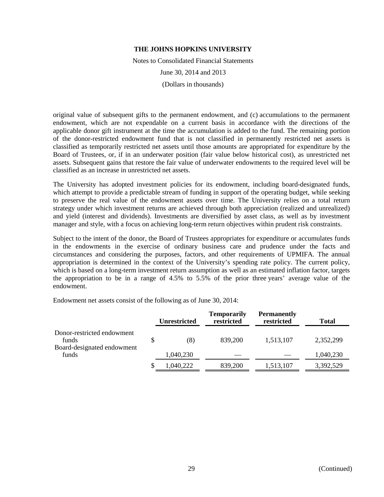Notes to Consolidated Financial Statements

June 30, 2014 and 2013

(Dollars in thousands)

original value of subsequent gifts to the permanent endowment, and (c) accumulations to the permanent endowment, which are not expendable on a current basis in accordance with the directions of the applicable donor gift instrument at the time the accumulation is added to the fund. The remaining portion of the donor-restricted endowment fund that is not classified in permanently restricted net assets is classified as temporarily restricted net assets until those amounts are appropriated for expenditure by the Board of Trustees, or, if in an underwater position (fair value below historical cost), as unrestricted net assets. Subsequent gains that restore the fair value of underwater endowments to the required level will be classified as an increase in unrestricted net assets.

The University has adopted investment policies for its endowment, including board-designated funds, which attempt to provide a predictable stream of funding in support of the operating budget, while seeking to preserve the real value of the endowment assets over time. The University relies on a total return strategy under which investment returns are achieved through both appreciation (realized and unrealized) and yield (interest and dividends). Investments are diversified by asset class, as well as by investment manager and style, with a focus on achieving long-term return objectives within prudent risk constraints.

Subject to the intent of the donor, the Board of Trustees appropriates for expenditure or accumulates funds in the endowments in the exercise of ordinary business care and prudence under the facts and circumstances and considering the purposes, factors, and other requirements of UPMIFA. The annual appropriation is determined in the context of the University's spending rate policy. The current policy, which is based on a long-term investment return assumption as well as an estimated inflation factor, targets the appropriation to be in a range of 4.5% to 5.5% of the prior three years' average value of the endowment.

Endowment net assets consist of the following as of June 30, 2014:

|                                                                            | <b>Unrestricted</b> | <b>Temporarily</b><br>restricted | <b>Permanently</b><br>restricted | <b>Total</b> |
|----------------------------------------------------------------------------|---------------------|----------------------------------|----------------------------------|--------------|
| Donor-restricted endowment<br>funds<br>Board-designated endowment<br>funds | (8)                 | 839,200                          | 1,513,107                        | 2,352,299    |
|                                                                            | 1,040,230           |                                  |                                  | 1,040,230    |
|                                                                            | 1,040,222           | 839,200                          | 1,513,107                        | 3,392,529    |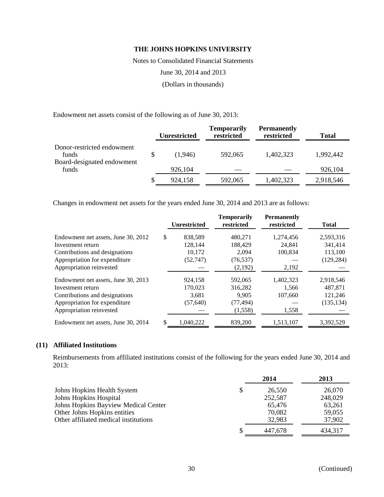Notes to Consolidated Financial Statements

June 30, 2014 and 2013

(Dollars in thousands)

Endowment net assets consist of the following as of June 30, 2013:

|                                                                            |   | <b>Unrestricted</b> | <b>Temporarily</b><br>restricted | <b>Permanently</b><br>restricted | <b>Total</b> |
|----------------------------------------------------------------------------|---|---------------------|----------------------------------|----------------------------------|--------------|
| Donor-restricted endowment<br>funds<br>Board-designated endowment<br>funds |   | (1.946)             | 592,065                          | 1,402,323                        | 1,992,442    |
|                                                                            |   | 926,104             |                                  |                                  | 926,104      |
|                                                                            | S | 924.158             | 592,065                          | 1,402,323                        | 2,918,546    |

Changes in endowment net assets for the years ended June 30, 2014 and 2013 are as follows:

|                                     | <b>Unrestricted</b> | <b>Temporarily</b><br>restricted | <b>Permanently</b><br>restricted | <b>Total</b> |
|-------------------------------------|---------------------|----------------------------------|----------------------------------|--------------|
| Endowment net assets, June 30, 2012 | \$<br>838,589       | 480.271                          | 1,274,456                        | 2,593,316    |
| Investment return                   | 128.144             | 188,429                          | 24.841                           | 341.414      |
| Contributions and designations      | 10.172              | 2.094                            | 100.834                          | 113,100      |
| Appropriation for expenditure       | (52, 747)           | (76, 537)                        |                                  | (129, 284)   |
| Appropriation reinvested            |                     | (2,192)                          | 2,192                            |              |
| Endowment net assets, June 30, 2013 | 924.158             | 592,065                          | 1,402,323                        | 2,918,546    |
| Investment return                   | 170,023             | 316,282                          | 1.566                            | 487.871      |
| Contributions and designations      | 3.681               | 9.905                            | 107.660                          | 121,246      |
| Appropriation for expenditure       | (57, 640)           | (77, 494)                        |                                  | (135, 134)   |
| Appropriation reinvested            |                     | (1,558)                          | 1,558                            |              |
| Endowment net assets, June 30, 2014 | \$<br>1.040.222     | 839,200                          | 1,513,107                        | 3,392,529    |

## **(11) Affiliated Institutions**

Reimbursements from affiliated institutions consist of the following for the years ended June 30, 2014 and 2013:

|                                             | 2014    | 2013    |
|---------------------------------------------|---------|---------|
| Johns Hopkins Health System                 | 26,550  | 26,070  |
| Johns Hopkins Hospital                      | 252,587 | 248,029 |
| <b>Johns Hopkins Bayview Medical Center</b> | 65,476  | 63,261  |
| Other Johns Hopkins entities                | 70,082  | 59,055  |
| Other affiliated medical institutions       | 32,983  | 37,902  |
|                                             | 447.678 | 434,317 |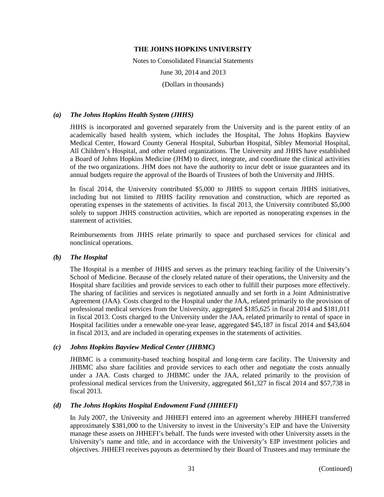Notes to Consolidated Financial Statements June 30, 2014 and 2013

(Dollars in thousands)

*(a) The Johns Hopkins Health System (JHHS)*

JHHS is incorporated and governed separately from the University and is the parent entity of an academically based health system, which includes the Hospital, The Johns Hopkins Bayview Medical Center, Howard County General Hospital, Suburban Hospital, Sibley Memorial Hospital, All Children's Hospital, and other related organizations. The University and JHHS have established a Board of Johns Hopkins Medicine (JHM) to direct, integrate, and coordinate the clinical activities of the two organizations. JHM does not have the authority to incur debt or issue guarantees and its annual budgets require the approval of the Boards of Trustees of both the University and JHHS.

In fiscal 2014, the University contributed \$5,000 to JHHS to support certain JHHS initiatives, including but not limited to JHHS facility renovation and construction, which are reported as operating expenses in the statements of activities. In fiscal 2013, the University contributed \$5,000 solely to support JHHS construction activities, which are reported as nonoperating expenses in the statement of activities.

Reimbursements from JHHS relate primarily to space and purchased services for clinical and nonclinical operations.

## *(b) The Hospital*

The Hospital is a member of JHHS and serves as the primary teaching facility of the University's School of Medicine. Because of the closely related nature of their operations, the University and the Hospital share facilities and provide services to each other to fulfill their purposes more effectively. The sharing of facilities and services is negotiated annually and set forth in a Joint Administrative Agreement (JAA). Costs charged to the Hospital under the JAA, related primarily to the provision of professional medical services from the University, aggregated \$185,625 in fiscal 2014 and \$181,011 in fiscal 2013. Costs charged to the University under the JAA, related primarily to rental of space in Hospital facilities under a renewable one-year lease, aggregated \$45,187 in fiscal 2014 and \$43,604 in fiscal 2013, and are included in operating expenses in the statements of activities.

## *(c) Johns Hopkins Bayview Medical Center (JHBMC)*

JHBMC is a community-based teaching hospital and long-term care facility. The University and JHBMC also share facilities and provide services to each other and negotiate the costs annually under a JAA. Costs charged to JHBMC under the JAA, related primarily to the provision of professional medical services from the University, aggregated \$61,327 in fiscal 2014 and \$57,738 in fiscal 2013.

## *(d) The Johns Hopkins Hospital Endowment Fund (JHHEFI)*

In July 2007, the University and JHHEFI entered into an agreement whereby JHHEFI transferred approximately \$381,000 to the University to invest in the University's EIP and have the University manage these assets on JHHEFI's behalf. The funds were invested with other University assets in the University's name and title, and in accordance with the University's EIP investment policies and objectives. JHHEFI receives payouts as determined by their Board of Trustees and may terminate the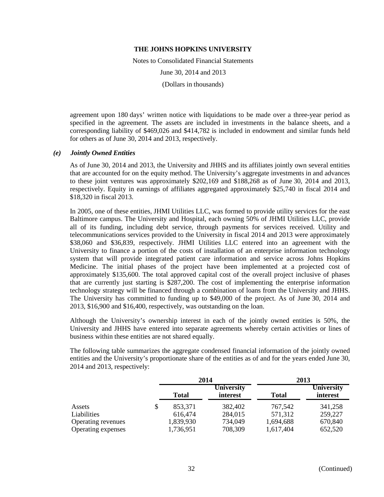Notes to Consolidated Financial Statements

June 30, 2014 and 2013

(Dollars in thousands)

agreement upon 180 days' written notice with liquidations to be made over a three-year period as specified in the agreement. The assets are included in investments in the balance sheets, and a corresponding liability of \$469,026 and \$414,782 is included in endowment and similar funds held for others as of June 30, 2014 and 2013, respectively.

#### *(e) Jointly Owned Entities*

As of June 30, 2014 and 2013, the University and JHHS and its affiliates jointly own several entities that are accounted for on the equity method. The University's aggregate investments in and advances to these joint ventures was approximately \$202,169 and \$188,268 as of June 30, 2014 and 2013, respectively. Equity in earnings of affiliates aggregated approximately \$25,740 in fiscal 2014 and \$18,320 in fiscal 2013.

In 2005, one of these entities, JHMI Utilities LLC, was formed to provide utility services for the east Baltimore campus. The University and Hospital, each owning 50% of JHMI Utilities LLC, provide all of its funding, including debt service, through payments for services received. Utility and telecommunications services provided to the University in fiscal 2014 and 2013 were approximately \$38,060 and \$36,839, respectively. JHMI Utilities LLC entered into an agreement with the University to finance a portion of the costs of installation of an enterprise information technology system that will provide integrated patient care information and service across Johns Hopkins Medicine. The initial phases of the project have been implemented at a projected cost of approximately \$135,600. The total approved capital cost of the overall project inclusive of phases that are currently just starting is \$287,200. The cost of implementing the enterprise information technology strategy will be financed through a combination of loans from the University and JHHS. The University has committed to funding up to \$49,000 of the project. As of June 30, 2014 and 2013, \$16,900 and \$16,400, respectively, was outstanding on the loan.

Although the University's ownership interest in each of the jointly owned entities is 50%, the University and JHHS have entered into separate agreements whereby certain activities or lines of business within these entities are not shared equally.

The following table summarizes the aggregate condensed financial information of the jointly owned entities and the University's proportionate share of the entities as of and for the years ended June 30, 2014 and 2013, respectively:

|                    |    |              | 2014                          | 2013         |                               |  |
|--------------------|----|--------------|-------------------------------|--------------|-------------------------------|--|
|                    |    | <b>Total</b> | <b>University</b><br>interest | <b>Total</b> | <b>University</b><br>interest |  |
| Assets             | \$ | 853,371      | 382,402                       | 767.542      | 341,258                       |  |
| Liabilities        |    | 616,474      | 284,015                       | 571,312      | 259,227                       |  |
| Operating revenues |    | 1,839,930    | 734,049                       | 1,694,688    | 670,840                       |  |
| Operating expenses |    | 1,736,951    | 708,309                       | 1,617,404    | 652,520                       |  |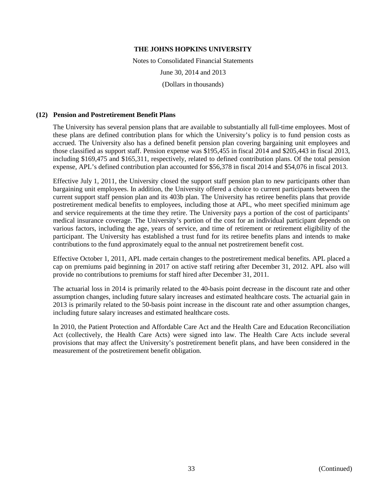Notes to Consolidated Financial Statements June 30, 2014 and 2013 (Dollars in thousands)

#### **(12) Pension and Postretirement Benefit Plans**

The University has several pension plans that are available to substantially all full-time employees. Most of these plans are defined contribution plans for which the University's policy is to fund pension costs as accrued. The University also has a defined benefit pension plan covering bargaining unit employees and those classified as support staff. Pension expense was \$195,455 in fiscal 2014 and \$205,443 in fiscal 2013, including \$169,475 and \$165,311, respectively, related to defined contribution plans. Of the total pension expense, APL's defined contribution plan accounted for \$56,378 in fiscal 2014 and \$54,076 in fiscal 2013.

Effective July 1, 2011, the University closed the support staff pension plan to new participants other than bargaining unit employees. In addition, the University offered a choice to current participants between the current support staff pension plan and its 403b plan. The University has retiree benefits plans that provide postretirement medical benefits to employees, including those at APL, who meet specified minimum age and service requirements at the time they retire. The University pays a portion of the cost of participants' medical insurance coverage. The University's portion of the cost for an individual participant depends on various factors, including the age, years of service, and time of retirement or retirement eligibility of the participant. The University has established a trust fund for its retiree benefits plans and intends to make contributions to the fund approximately equal to the annual net postretirement benefit cost.

Effective October 1, 2011, APL made certain changes to the postretirement medical benefits. APL placed a cap on premiums paid beginning in 2017 on active staff retiring after December 31, 2012. APL also will provide no contributions to premiums for staff hired after December 31, 2011.

The actuarial loss in 2014 is primarily related to the 40-basis point decrease in the discount rate and other assumption changes, including future salary increases and estimated healthcare costs. The actuarial gain in 2013 is primarily related to the 50-basis point increase in the discount rate and other assumption changes, including future salary increases and estimated healthcare costs.

In 2010, the Patient Protection and Affordable Care Act and the Health Care and Education Reconciliation Act (collectively, the Health Care Acts) were signed into law. The Health Care Acts include several provisions that may affect the University's postretirement benefit plans, and have been considered in the measurement of the postretirement benefit obligation.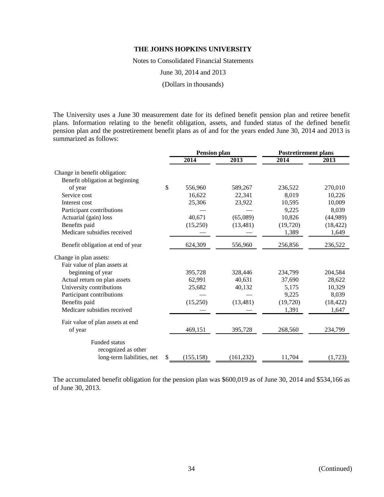Notes to Consolidated Financial Statements

June 30, 2014 and 2013

(Dollars in thousands)

The University uses a June 30 measurement date for its defined benefit pension plan and retiree benefit plans. Information relating to the benefit obligation, assets, and funded status of the defined benefit pension plan and the postretirement benefit plans as of and for the years ended June 30, 2014 and 2013 is summarized as follows:

|                                             | Pension plan |            | <b>Postretirement plans</b> |           |  |
|---------------------------------------------|--------------|------------|-----------------------------|-----------|--|
|                                             | 2014         | 2013       | 2014                        | 2013      |  |
| Change in benefit obligation:               |              |            |                             |           |  |
| Benefit obligation at beginning             |              |            |                             |           |  |
| \$<br>of year                               | 556,960      | 589,267    | 236,522                     | 270,010   |  |
| Service cost                                | 16,622       | 22,341     | 8,019                       | 10,226    |  |
| Interest cost                               | 25,306       | 23,922     | 10,595                      | 10,009    |  |
| Participant contributions                   |              |            | 9,225                       | 8,039     |  |
| Actuarial (gain) loss                       | 40,671       | (65,089)   | 10,826                      | (44,989)  |  |
| Benefits paid                               | (15,250)     | (13, 481)  | (19,720)                    | (18, 422) |  |
| Medicare subsidies received                 |              |            | 1,389                       | 1,649     |  |
| Benefit obligation at end of year           | 624,309      | 556,960    | 256,856                     | 236,522   |  |
| Change in plan assets:                      |              |            |                             |           |  |
| Fair value of plan assets at                |              |            |                             |           |  |
| beginning of year                           | 395,728      | 328,446    | 234,799                     | 204,584   |  |
| Actual return on plan assets                | 62,991       | 40,631     | 37,690                      | 28,622    |  |
| University contributions                    | 25,682       | 40,132     | 5,175                       | 10,329    |  |
| Participant contributions                   |              |            | 9,225                       | 8,039     |  |
| Benefits paid                               | (15,250)     | (13, 481)  | (19,720)                    | (18, 422) |  |
| Medicare subsidies received                 |              |            | 1,391                       | 1,647     |  |
| Fair value of plan assets at end            |              |            |                             |           |  |
| of year                                     | 469,151      | 395,728    | 268,560                     | 234,799   |  |
| <b>Funded status</b><br>recognized as other |              |            |                             |           |  |
| long-term liabilities, net<br>\$            | (155, 158)   | (161, 232) | 11,704                      | (1,723)   |  |

The accumulated benefit obligation for the pension plan was \$600,019 as of June 30, 2014 and \$534,166 as of June 30, 2013.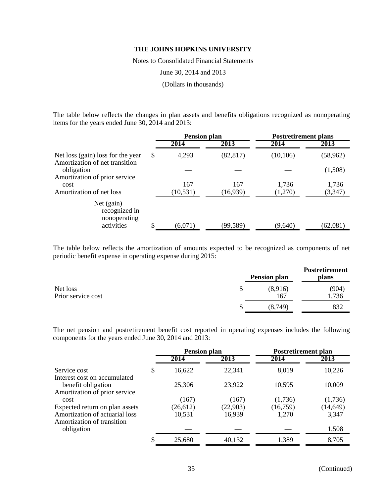Notes to Consolidated Financial Statements

June 30, 2014 and 2013

(Dollars in thousands)

The table below reflects the changes in plan assets and benefits obligations recognized as nonoperating items for the years ended June 30, 2014 and 2013:

|                                                                     | <b>Pension plan</b> |           | <b>Postretirement plans</b> |           |  |
|---------------------------------------------------------------------|---------------------|-----------|-----------------------------|-----------|--|
|                                                                     | 2014                | 2013      | 2014                        | 2013      |  |
| Net loss (gain) loss for the year<br>Amortization of net transition | \$<br>4,293         | (82, 817) | (10, 106)                   | (58, 962) |  |
| obligation<br>Amortization of prior service                         |                     |           |                             | (1,508)   |  |
| cost                                                                | 167                 | 167       | 1,736                       | 1,736     |  |
| Amortization of net loss                                            | (10, 531)           | (16,939)  | (1,270)                     | (3,347)   |  |
| Net $(gain)$<br>recognized in<br>nonoperating                       |                     |           |                             |           |  |
| activities                                                          | \$<br>(6,071)       | (99, 589) | (9,640)                     | (62,081)  |  |

The table below reflects the amortization of amounts expected to be recognized as components of net periodic benefit expense in operating expense during 2015:

|                                | <b>Pension plan</b>  |                |  |
|--------------------------------|----------------------|----------------|--|
| Net loss<br>Prior service cost | \$<br>(8,916)<br>167 | (904)<br>1,736 |  |
|                                | (8,749               | 832            |  |

The net pension and postretirement benefit cost reported in operating expenses includes the following components for the years ended June 30, 2014 and 2013:

|                                | <b>Pension plan</b> |          | <b>Postretirement plan</b> |           |  |
|--------------------------------|---------------------|----------|----------------------------|-----------|--|
|                                | 2014                | 2013     | 2014                       | 2013      |  |
| Service cost                   | \$<br>16,622        | 22,341   | 8,019                      | 10,226    |  |
| Interest cost on accumulated   |                     |          |                            |           |  |
| benefit obligation             | 25,306              | 23,922   | 10,595                     | 10,009    |  |
| Amortization of prior service  |                     |          |                            |           |  |
| cost                           | (167)               | (167)    | (1,736)                    | (1,736)   |  |
| Expected return on plan assets | (26, 612)           | (22,903) | (16,759)                   | (14, 649) |  |
| Amortization of actuarial loss | 10,531              | 16,939   | 1,270                      | 3,347     |  |
| Amortization of transition     |                     |          |                            |           |  |
| obligation                     |                     |          |                            | 1,508     |  |
|                                | \$<br>25,680        | 40,132   | 1,389                      | 8,705     |  |
|                                |                     |          |                            |           |  |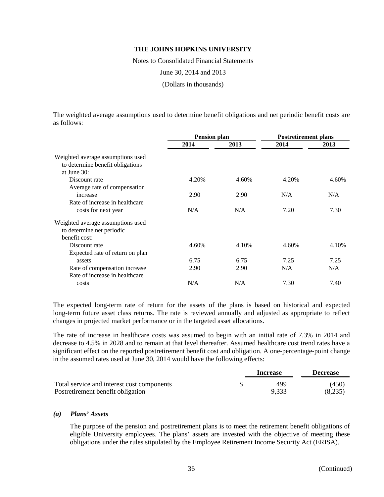Notes to Consolidated Financial Statements

June 30, 2014 and 2013

(Dollars in thousands)

The weighted average assumptions used to determine benefit obligations and net periodic benefit costs are as follows:

|                                                                                         | <b>Pension plan</b> |       | <b>Postretirement plans</b> |       |  |
|-----------------------------------------------------------------------------------------|---------------------|-------|-----------------------------|-------|--|
|                                                                                         | 2014                | 2013  | 2014                        | 2013  |  |
| Weighted average assumptions used<br>to determine benefit obligations<br>at June $30$ : |                     |       |                             |       |  |
| Discount rate<br>Average rate of compensation                                           | 4.20%               | 4.60% | 4.20%                       | 4.60% |  |
| increase                                                                                | 2.90                | 2.90  | N/A                         | N/A   |  |
| Rate of increase in healthcare                                                          |                     |       |                             |       |  |
| costs for next year                                                                     | N/A                 | N/A   | 7.20                        | 7.30  |  |
| Weighted average assumptions used<br>to determine net periodic                          |                     |       |                             |       |  |
| benefit cost:                                                                           |                     |       |                             |       |  |
| Discount rate                                                                           | 4.60%               | 4.10% | 4.60%                       | 4.10% |  |
| Expected rate of return on plan                                                         |                     |       |                             |       |  |
| assets                                                                                  | 6.75                | 6.75  | 7.25                        | 7.25  |  |
| Rate of compensation increase                                                           | 2.90                | 2.90  | N/A                         | N/A   |  |
| Rate of increase in healthcare                                                          |                     |       |                             |       |  |
| costs                                                                                   | N/A                 | N/A   | 7.30                        | 7.40  |  |

The expected long-term rate of return for the assets of the plans is based on historical and expected long-term future asset class returns. The rate is reviewed annually and adjusted as appropriate to reflect changes in projected market performance or in the targeted asset allocations.

The rate of increase in healthcare costs was assumed to begin with an initial rate of 7.3% in 2014 and decrease to 4.5% in 2028 and to remain at that level thereafter. Assumed healthcare cost trend rates have a significant effect on the reported postretirement benefit cost and obligation. A one-percentage-point change in the assumed rates used at June 30, 2014 would have the following effects:

|                                            | Increase | <b>Decrease</b> |  |
|--------------------------------------------|----------|-----------------|--|
| Total service and interest cost components | 499      | (450)           |  |
| Postretirement benefit obligation          | 9,333    | (8.235)         |  |

## *(a) Plans' Assets*

The purpose of the pension and postretirement plans is to meet the retirement benefit obligations of eligible University employees. The plans' assets are invested with the objective of meeting these obligations under the rules stipulated by the Employee Retirement Income Security Act (ERISA).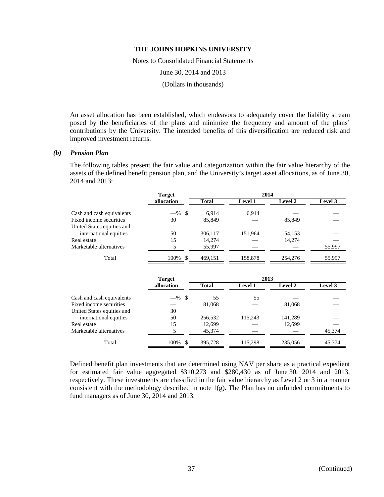Notes to Consolidated Financial Statements

June 30, 2014 and 2013

(Dollars in thousands)

An asset allocation has been established, which endeavors to adequately cover the liability stream posed by the beneficiaries of the plans and minimize the frequency and amount of the plans' contributions by the University. The intended benefits of this diversification are reduced risk and improved investment returns.

## *(b) Pension Plan*

The following tables present the fair value and categorization within the fair value hierarchy of the assets of the defined benefit pension plan, and the University's target asset allocations, as of June 30, 2014 and 2013:

|                            | <b>Target</b> | 2014         |                |                |         |  |
|----------------------------|---------------|--------------|----------------|----------------|---------|--|
|                            | allocation    | <b>Total</b> | <b>Level 1</b> | <b>Level 2</b> | Level 3 |  |
| Cash and cash equivalents  | $-$ % \$      | 6.914        | 6,914          |                |         |  |
| Fixed income securities    | 30            | 85,849       |                | 85,849         |         |  |
| United States equities and |               |              |                |                |         |  |
| international equities     | 50            | 306,117      | 151,964        | 154,153        |         |  |
| Real estate                | 15            | 14,274       |                | 14,274         |         |  |
| Marketable alternatives    |               | 55,997       |                |                | 55,997  |  |
| Total                      | 100%          | 469.151      | 158,878        | 254,276        | 55,997  |  |

|                            | <b>Target</b> | 2013         |                |         |         |  |
|----------------------------|---------------|--------------|----------------|---------|---------|--|
|                            | allocation    | <b>Total</b> | <b>Level 1</b> | Level 2 | Level 3 |  |
| Cash and cash equivalents  | $-$ % \$      | 55           | 55             |         |         |  |
| Fixed income securities    |               | 81,068       |                | 81,068  |         |  |
| United States equities and | 30            |              |                |         |         |  |
| international equities     | 50            | 256,532      | 115,243        | 141,289 |         |  |
| Real estate                | 15            | 12,699       |                | 12,699  |         |  |
| Marketable alternatives    |               | 45,374       |                |         | 45,374  |  |
| Total                      | 100%<br>£.    | 395.728      | 115.298        | 235,056 | 45,374  |  |

Defined benefit plan investments that are determined using NAV per share as a practical expedient for estimated fair value aggregated \$310,273 and \$280,430 as of June 30, 2014 and 2013, respectively. These investments are classified in the fair value hierarchy as Level 2 or 3 in a manner consistent with the methodology described in note 1(g). The Plan has no unfunded commitments to fund managers as of June 30, 2014 and 2013.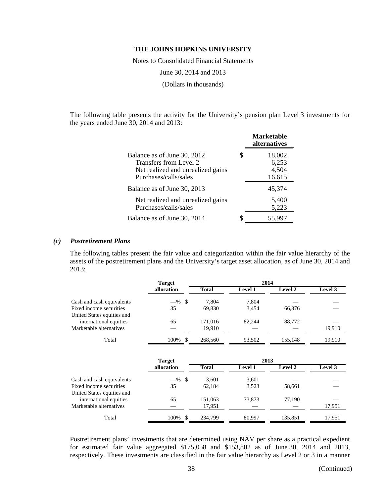Notes to Consolidated Financial Statements

June 30, 2014 and 2013

(Dollars in thousands)

The following table presents the activity for the University's pension plan Level 3 investments for the years ended June 30, 2014 and 2013:

|                                                                                                                     |   | <b>Marketable</b><br>alternatives  |
|---------------------------------------------------------------------------------------------------------------------|---|------------------------------------|
| Balance as of June 30, 2012<br>Transfers from Level 2<br>Net realized and unrealized gains<br>Purchases/calls/sales | S | 18,002<br>6,253<br>4,504<br>16,615 |
| Balance as of June 30, 2013                                                                                         |   | 45.374                             |
| Net realized and unrealized gains<br>Purchases/calls/sales                                                          |   | 5,400<br>5,223                     |
| Balance as of June 30, 2014                                                                                         | S | 55,997                             |

#### *(c) Postretirement Plans*

The following tables present the fair value and categorization within the fair value hierarchy of the assets of the postretirement plans and the University's target asset allocation, as of June 30, 2014 and 2013:

|                                                       | <b>Target</b>               |              | 2014            |         |         |
|-------------------------------------------------------|-----------------------------|--------------|-----------------|---------|---------|
|                                                       | allocation                  | <b>Total</b> | <b>Level 1</b>  | Level 2 | Level 3 |
| Cash and cash equivalents                             | -\$<br>$-$ %                | 7,804        | 7,804           |         |         |
| Fixed income securities<br>United States equities and | 35                          | 69,830       | 3,454           | 66,376  |         |
| international equities                                | 65                          | 171,016      | 82,244          | 88,772  |         |
| Marketable alternatives                               |                             | 19,910       |                 |         | 19,910  |
| Total                                                 | 100%<br><sup>\$</sup>       | 268,560      | 93,502          | 155,148 | 19,910  |
|                                                       |                             |              |                 |         |         |
|                                                       | <b>Target</b><br>allocation | <b>Total</b> | 2013<br>Level 1 | Level 2 | Level 3 |
| Cash and cash equivalents                             | -\$<br>$-$ %                | 3,601        | 3,601           |         |         |
| Fixed income securities<br>United States equities and | 35                          | 62,184       | 3,523           | 58,661  |         |
| international equities                                | 65                          | 151,063      | 73,873          | 77,190  |         |
| Marketable alternatives                               |                             | 17,951       |                 |         | 17,951  |
| Total                                                 | 100%<br><sup>\$</sup>       | 234,799      | 80,997          | 135,851 | 17,951  |

Postretirement plans' investments that are determined using NAV per share as a practical expedient for estimated fair value aggregated \$175,058 and \$153,802 as of June 30, 2014 and 2013, respectively. These investments are classified in the fair value hierarchy as Level 2 or 3 in a manner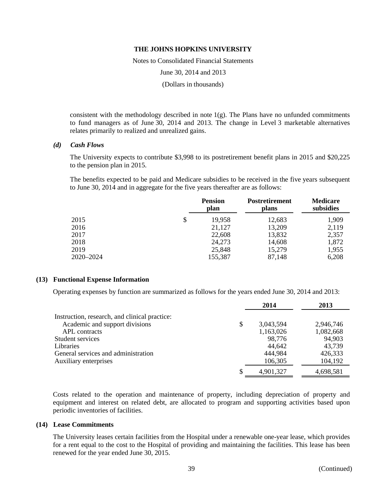Notes to Consolidated Financial Statements

June 30, 2014 and 2013

(Dollars in thousands)

consistent with the methodology described in note  $1(g)$ . The Plans have no unfunded commitments to fund managers as of June 30, 2014 and 2013. The change in Level 3 marketable alternatives relates primarily to realized and unrealized gains.

#### *(d) Cash Flows*

The University expects to contribute \$3,998 to its postretirement benefit plans in 2015 and \$20,225 to the pension plan in 2015.

The benefits expected to be paid and Medicare subsidies to be received in the five years subsequent to June 30, 2014 and in aggregate for the five years thereafter are as follows:

|           | <b>Pension</b><br>plan | Postretirement<br>plans | <b>Medicare</b><br>subsidies |
|-----------|------------------------|-------------------------|------------------------------|
| 2015      | \$<br>19,958           | 12,683                  | 1,909                        |
| 2016      | 21,127                 | 13,209                  | 2,119                        |
| 2017      | 22,608                 | 13,832                  | 2,357                        |
| 2018      | 24,273                 | 14,608                  | 1,872                        |
| 2019      | 25,848                 | 15,279                  | 1,955                        |
| 2020–2024 | 155,387                | 87,148                  | 6,208                        |

#### **(13) Functional Expense Information**

Operating expenses by function are summarized as follows for the years ended June 30, 2014 and 2013:

|                                               |    | 2014      | 2013      |
|-----------------------------------------------|----|-----------|-----------|
| Instruction, research, and clinical practice: |    |           |           |
| Academic and support divisions                | \$ | 3,043,594 | 2,946,746 |
| APL contracts                                 |    | 1,163,026 | 1,082,668 |
| Student services                              |    | 98,776    | 94,903    |
| Libraries                                     |    | 44,642    | 43,739    |
| General services and administration           |    | 444,984   | 426,333   |
| Auxiliary enterprises                         |    | 106,305   | 104,192   |
|                                               | S  | 4,901,327 | 4,698,581 |

Costs related to the operation and maintenance of property, including depreciation of property and equipment and interest on related debt, are allocated to program and supporting activities based upon periodic inventories of facilities.

#### **(14) Lease Commitments**

The University leases certain facilities from the Hospital under a renewable one-year lease, which provides for a rent equal to the cost to the Hospital of providing and maintaining the facilities. This lease has been renewed for the year ended June 30, 2015.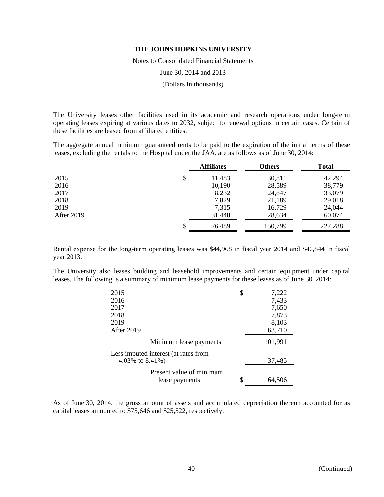Notes to Consolidated Financial Statements

June 30, 2014 and 2013

(Dollars in thousands)

The University leases other facilities used in its academic and research operations under long-term operating leases expiring at various dates to 2032, subject to renewal options in certain cases. Certain of these facilities are leased from affiliated entities.

The aggregate annual minimum guaranteed rents to be paid to the expiration of the initial terms of these leases, excluding the rentals to the Hospital under the JAA, are as follows as of June 30, 2014:

|                   |        | <b>Affiliates</b> | <b>Others</b> | <b>Total</b> |
|-------------------|--------|-------------------|---------------|--------------|
| 2015              | \$     | 11,483            | 30,811        | 42,294       |
| 2016              |        | 10,190            | 28,589        | 38,779       |
| 2017              |        | 8,232             | 24,847        | 33,079       |
| 2018              |        | 7,829             | 21,189        | 29,018       |
| 2019              |        | 7,315             | 16,729        | 24,044       |
| <b>After 2019</b> |        | 31,440            | 28,634        | 60,074       |
|                   | ¢<br>J | 76,489            | 150,799       | 227,288      |

Rental expense for the long-term operating leases was \$44,968 in fiscal year 2014 and \$40,844 in fiscal year 2013.

The University also leases building and leasehold improvements and certain equipment under capital leases. The following is a summary of minimum lease payments for these leases as of June 30, 2014:

| 2015                                 | \$<br>7,222  |
|--------------------------------------|--------------|
| 2016                                 | 7,433        |
| 2017                                 | 7,650        |
| 2018                                 | 7,873        |
| 2019                                 | 8,103        |
| After 2019                           | 63,710       |
| Minimum lease payments               | 101,991      |
| Less imputed interest (at rates from |              |
| 4.03% to 8.41%)                      | 37,485       |
| Present value of minimum             |              |
| lease payments                       | \$<br>64,506 |

As of June 30, 2014, the gross amount of assets and accumulated depreciation thereon accounted for as capital leases amounted to \$75,646 and \$25,522, respectively.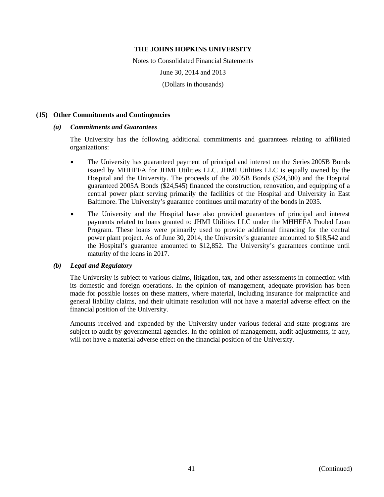Notes to Consolidated Financial Statements

June 30, 2014 and 2013

(Dollars in thousands)

#### **(15) Other Commitments and Contingencies**

#### *(a) Commitments and Guarantees*

The University has the following additional commitments and guarantees relating to affiliated organizations:

- The University has guaranteed payment of principal and interest on the Series 2005B Bonds issued by MHHEFA for JHMI Utilities LLC. JHMI Utilities LLC is equally owned by the Hospital and the University. The proceeds of the 2005B Bonds (\$24,300) and the Hospital guaranteed 2005A Bonds (\$24,545) financed the construction, renovation, and equipping of a central power plant serving primarily the facilities of the Hospital and University in East Baltimore. The University's guarantee continues until maturity of the bonds in 2035.
- The University and the Hospital have also provided guarantees of principal and interest payments related to loans granted to JHMI Utilities LLC under the MHHEFA Pooled Loan Program. These loans were primarily used to provide additional financing for the central power plant project. As of June 30, 2014, the University's guarantee amounted to \$18,542 and the Hospital's guarantee amounted to \$12,852. The University's guarantees continue until maturity of the loans in 2017.

#### *(b) Legal and Regulatory*

The University is subject to various claims, litigation, tax, and other assessments in connection with its domestic and foreign operations. In the opinion of management, adequate provision has been made for possible losses on these matters, where material, including insurance for malpractice and general liability claims, and their ultimate resolution will not have a material adverse effect on the financial position of the University.

Amounts received and expended by the University under various federal and state programs are subject to audit by governmental agencies. In the opinion of management, audit adjustments, if any, will not have a material adverse effect on the financial position of the University.